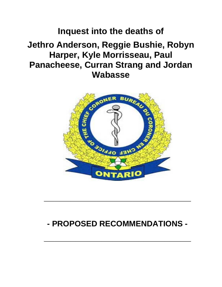# **Inquest into the deaths of Jethro Anderson, Reggie Bushie, Robyn Harper, Kyle Morrisseau, Paul Panacheese, Curran Strang and Jordan Wabasse**



# **- PROPOSED RECOMMENDATIONS -**

**\_\_\_\_\_\_\_\_\_\_\_\_\_\_\_\_\_\_\_\_\_\_\_\_\_\_\_\_**

**\_\_\_\_\_\_\_\_\_\_\_\_\_\_\_\_\_\_\_\_\_\_\_\_\_\_\_\_**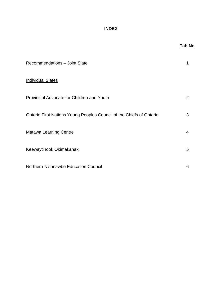# **INDEX**

|                                                                                                         | <u>Tab N</u> |                                                                      |   |
|---------------------------------------------------------------------------------------------------------|--------------|----------------------------------------------------------------------|---|
| Recommendations - Joint Slate<br><b>Individual Slates</b><br>Provincial Advocate for Children and Youth | 1<br>2       |                                                                      |   |
|                                                                                                         |              | Ontario First Nations Young Peoples Council of the Chiefs of Ontario | 3 |
|                                                                                                         |              | <b>Matawa Learning Centre</b>                                        | 4 |
| Keewaytinook Okimakanak<br>Northern Nishnawbe Education Council                                         | 5            |                                                                      |   |
|                                                                                                         | 6            |                                                                      |   |

# <u>lo.</u>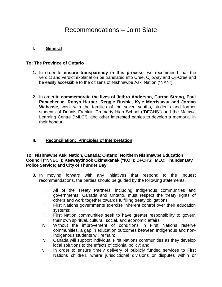# Recommendations – Joint Slate

# **I. General**

# **To: The Province of Ontario**

- **1.** In order to **ensure transparency in this process**, we recommend that the verdict and verdict explanation be translated into Cree, Ojibway and Oji-Cree and be easily accessible to the citizens of Nishnawbe Aski Nation ("NAN").
- **2.** In order to **commemorate the lives of Jethro Anderson, Curran Strang, Paul Panacheese, Robyn Harper, Reggie Bushie, Kyle Morrisseau and Jordan Wabasse**, work with the families of the seven youths, students and former students of Dennis Franklin Cromarty High School ("DFCHS") and the Matawa Learning Centre ("MLC"), and other interested parties to develop a memorial in their honour.

# **II. Reconciliation: Principles of Interpretation**

#### **To: Nishnawbe Aski Nation, Canada; Ontario; Northern Nishnawbe Education Council ("NNEC"); Keewaytinook Okimakanak ("KO"); DFCHS; MLC; Thunder Bay Police Service; and City of Thunder Bay**

- **3.** In moving forward with any initiatives that respond to the Inquest recommendations, the parties should be guided by the following statements:
	- i. All of the Treaty Partners, including Indigenous communities and governments, Canada and Ontario, must respect the treaty rights of others and work together towards fulfilling treaty obligations;
	- ii. First Nations governments exercise inherent control over their education systems;
	- iii. First Nation communities seek to have greater responsibility to govern their own spiritual, cultural, social, and economic affairs;
	- iv. Without the improvement of conditions in First Nations reserve communities, a gap in education outcomes between Indigenous and non-Indigenous students will remain;
	- v. Canada will support individual First Nations communities as they develop local solutions to the effects of colonial policy; and
	- vi. In order to ensure timely delivery of publicly funded services to First Nations children, where jurisdictional divisions or disputes within or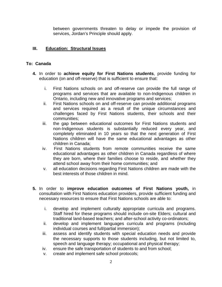between governments threaten to delay or impede the provision of services, Jordan's Principle should apply.

### **III. Education: Structural Issues**

#### **To: Canada**

- **4.** In order to **achieve equity for First Nations students**, provide funding for education (on and off-reserve) that is sufficient to ensure that:
	- i. First Nations schools on and off-reserve can provide the full range of programs and services that are available to non-Indigenous children in Ontario, including new and innovative programs and services;
	- ii. First Nations schools on and off-reserve can provide additional programs and services required as a result of the unique circumstances and challenges faced by First Nations students, their schools and their communities;
	- iii. the gap between educational outcomes for First Nations students and non-Indigenous students is substantially reduced every year, and completely eliminated in 10 years so that the next generation of First Nations children will have the same educational advantages as other children in Canada;
	- iv. First Nations students from remote communities receive the same educational advantages as other children in Canada regardless of where they are born, where their families choose to reside, and whether they attend school away from their home communities; and
	- v. all education decisions regarding First Nations children are made with the best interests of those children in mind.
- **5.** In order to **improve education outcomes of First Nations youth,** in consultation with First Nations education providers, provide sufficient funding and necessary resources to ensure that First Nations schools are able to:
	- i. develop and implement culturally appropriate curricula and programs. Staff hired for these programs should include on-site Elders; cultural and traditional land-based teachers; and after-school activity co-ordinators;
	- ii. develop and implement languages curricula and programs (including individual courses and full/partial immersion);
	- iii. assess and identify students with special education needs and provide the necessary supports to those students including, but not limited to, speech and language therapy; occupational and physical therapy;
	- iv. ensure the safe transportation of students to and from school;
	- v. create and implement safe school protocols;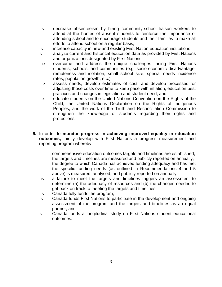- vi. decrease absenteeism by hiring community-school liaison workers to attend at the homes of absent students to reinforce the importance of attending school and to encourage students and their families to make all efforts to attend school on a regular basis;
- vii. increase capacity in new and existing First Nation education institutions;
- viii. analyze current and historical education data as provided by First Nations and organizations designated by First Nations;
- ix. overcome and address the unique challenges facing First Nations students, schools, and communities (e.g. socio-economic disadvantage, remoteness and isolation, small school size, special needs incidence rates, population growth, etc.);
- x. assess needs, develop estimates of cost, and develop processes for adjusting those costs over time to keep pace with inflation, education best practices and changes in legislation and student need; and
- xi. educate students on the United Nations Convention on the Rights of the Child, the United Nations Declaration on the Rights of Indigenous Peoples, and the work of the Truth and Reconciliation Commission to strengthen the knowledge of students regarding their rights and protections.
- **6.** In order to **monitor progress in achieving improved equality in education outcomes,** jointly develop with First Nations a progress measurement and reporting program whereby:
	- i. comprehensive education outcomes targets and timelines are established;
	- ii. the targets and timelines are measured and publicly reported on annually;
	- iii. the degree to which Canada has achieved funding adequacy and has met the specific funding needs (as outlined in Recommendations 4 and 5 above) is measured, analysed, and publicly reported on annually;
	- iv. a failure to meet the targets and timelines triggers an assessment to determine (a) the adequacy of resources and (b) the changes needed to get back on track to meeting the targets and timelines;
	- v. Canada fully funds the program;
	- vi. Canada funds First Nations to participate in the development and ongoing assessment of the program and the targets and timelines as an equal partner; and
	- vii. Canada funds a longitudinal study on First Nations student educational outcomes.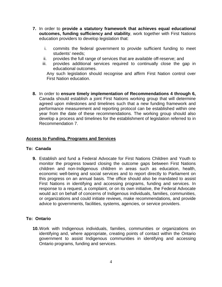- **7.** In order to **provide a statutory framework that achieves equal educational outcomes, funding sufficiency and stability**, work together with First Nations education providers to develop legislation that:
	- i. commits the federal government to provide sufficient funding to meet students' needs;
	- ii. provides the full range of services that are available off-reserve; and
	- iii. provides additional services required to continually close the gap in educational outcomes.

Any such legislation should recognise and affirm First Nation control over First Nation education.

**8.** In order to **ensure timely implementation of Recommendations 4 through 6,**  Canada should establish a joint First Nations working group that will determine agreed upon milestones and timelines such that a new funding framework and performance measurement and reporting protocol can be established within one year from the date of these recommendations. The working group should also develop a process and timelines for the establishment of legislation referred to in Recommendation 7.

# **Access to Funding, Programs and Services**

#### **To: Canada**

**9.** Establish and fund a Federal Advocate for First Nations Children and Youth to monitor the progress toward closing the outcome gaps between First Nations children and non-Indigenous children in areas such as education, health, economic well-being and social services and to report directly to Parliament on this progress on an annual basis. The office should also be mandated to assist First Nations in identifying and accessing programs, funding and services. In response to a request, a complaint, or on its own initiative, the Federal Advocate would act on behalf of concerns of Indigenous individuals, families, communities, or organizations and could initiate reviews, make recommendations, and provide advice to governments, facilities, systems, agencies, or service providers.

#### **To: Ontario**

**10.**Work with Indigenous individuals, families, communities or organizations on identifying and, where appropriate, creating points of contact within the Ontario government to assist Indigenous communities in identifying and accessing Ontario programs, funding and services.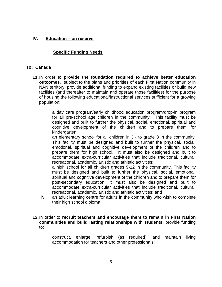# **IV. Education – on reserve**

# i. **Specific Funding Needs**

### **To: Canada**

- **11.**In order to **provide the foundation required to achieve better education outcomes**, subject to the plans and priorities of each First Nation community in NAN territory, provide additional funding to expand existing facilities or build new facilities (and thereafter to maintain and operate those facilities) for the purpose of housing the following educational/instructional services sufficient for a growing population:
	- i. a day care program/early childhood education program/drop-in program for all pre-school age children in the community. This facility must be designed and built to further the physical, social, emotional, spiritual and cognitive development of the children and to prepare them for kindergarten:
	- ii. an elementary school for all children in JK to grade 8 in the community. This facility must be designed and built to further the physical, social, emotional, spiritual and cognitive development of the children and to prepare them for high school. It must also be designed and built to accommodate extra-curricular activities that include traditional, cultural, recreational, academic, artistic and athletic activities;
	- iii. a high school for all children grades 9-12 in the community. This facility must be designed and built to further the physical, social, emotional, spiritual and cognitive development of the children and to prepare them for post-secondary education. It must also be designed and built to accommodate extra-curricular activities that include traditional, cultural, recreational, academic, artistic and athletic activities; and
	- iv. an adult learning centre for adults in the community who wish to complete their high school diploma.

# **12.**In order to **recruit teachers and encourage them to remain in First Nation communities and build lasting relationships with students,** provide funding to:

i. construct, enlarge, refurbish (as required), and maintain living accommodation for teachers and other professionals;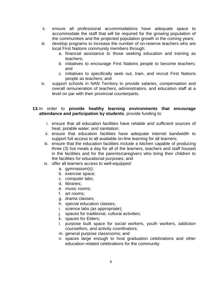- ii. ensure all professional accommodations have adequate space to accommodate the staff that will be required for the growing population of the communities and the projected population growth in the coming years;
- iii. develop programs to increase the number of on-reserve teachers who are local First Nations community members through:
	- a. financial assistance to those seeking education and training as teachers;
	- b. initiatives to encourage First Nations people to become teachers; and
	- c. initiatives to specifically seek out, train, and recruit First Nations people as teachers; and
- iv. support schools in NAN Territory to provide salaries, compensation and overall remuneration of teachers, administrators, and education staff at a level on par with their provincial counterparts.

#### **13.**In order to **provide healthy learning environments that encourage attendance and participation by students**, provide funding to:

- i. ensure that all education facilities have reliable and sufficient sources of heat, potable water; and sanitation;
- ii. ensure that education facilities have adequate internet bandwidth to support full access to all available on-line learning for all learners;
- iii. ensure that the education facilities include a kitchen capable of producing three (3) hot meals a day for all of the learners, teachers and staff housed in the facilities and for the parents/caregivers who bring their children to the facilities for educational purposes; and
- iv. offer all learners access to well-equipped:
	- a. gymnasium(s);
	- b. exercise space;
	- c. computer labs;
	- d. libraries;
	- e. music rooms;
	- f. art rooms;
	- g. drama classes;
	- h. special education classes;
	- i. science labs (as appropriate);
	- j. spaces for traditional, cultural activities;
	- k. spaces for Elders;
	- l. purpose built space for social workers, youth workers, addiction counsellors, and activity coordinators;
	- m. general purpose classrooms; and
	- n. spaces large enough to host graduation celebrations and other education-related celebrations for the community.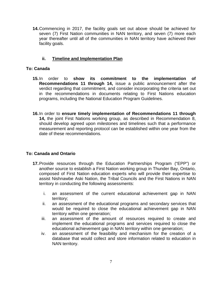**14.**Commencing in 2017, the facility goals set out above should be achieved for seven (7) First Nation communities in NAN territory, and seven (7) more each year thereafter until all of the communities in NAN territory have achieved their facility goals.

# **ii. Timeline and Implementation Plan**

### **To: Canada**

- **15.**In order to **show its commitment to the implementation of Recommendations 11 through 14,** issue a public announcement after the verdict regarding that commitment, and consider incorporating the criteria set out in the recommendations in documents relating to First Nations education programs, including the National Education Program Guidelines.
- **16.**In order to **ensure timely implementation of Recommendations 11 through 14,** the joint First Nations working group, as described in Recommendation 8, should develop agreed upon milestones and timelines such that a performance measurement and reporting protocol can be established within one year from the date of these recommendations.

#### **To: Canada and Ontario**

- **17.**Provide resources through the Education Partnerships Program ("EPP") or another source to establish a First Nation working group in Thunder Bay, Ontario, composed of First Nation education experts who will provide their expertise to assist Nishnawbe Aski Nation, the Tribal Councils and the First Nations in NAN territory in conducting the following assessments:
	- i. an assessment of the current educational achievement gap in NAN territory;
	- ii. an assessment of the educational programs and secondary services that would be required to close the educational achievement gap in NAN territory within one generation;
	- iii. an assessment of the amount of resources required to create and implement the educational programs and services required to close the educational achievement gap in NAN territory within one generation;
	- iv. an assessment of the feasibility and mechanism for the creation of a database that would collect and store information related to education in NAN territory.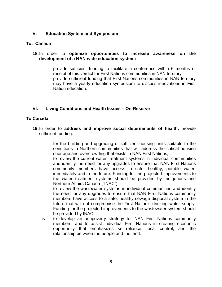# **V. Education System and Symposium**

#### **To: Canada**

#### **18.**In order to **optimize opportunities to increase awareness on the development of a NAN-wide education system:**

- i. provide sufficient funding to facilitate a conference within 6 months of receipt of this verdict for First Nations communities in NAN territory;
- ii. provide sufficient funding that First Nations communities in NAN territory may have a yearly education symposium to discuss innovations in First Nation education.

# **VI. Living Conditions and Health Issues – On-Reserve**

#### **To Canada:**

- **19.**In order to **address and improve social determinants of health,** provide sufficient funding:
	- i. for the building and upgrading of sufficient housing units suitable to the conditions in Northern communities that will address the critical housing shortage and overcrowding that exists in NAN First Nations;
	- ii. to review the current water treatment systems in individual communities and identify the need for any upgrades to ensure that NAN First Nations community members have access to safe, healthy, potable water, immediately and in the future. Funding for the projected improvements to the water treatment systems should be provided by Indigenous and Northern Affairs Canada ("INAC");
	- iii. to review the wastewater systems in individual communities and identify the need for any upgrades to ensure that NAN First Nations community members have access to a safe, healthy sewage disposal system in the future that will not compromise the First Nation's drinking water supply. Funding for the projected improvements to the wastewater system should be provided by INAC;
	- iv. to develop an antipoverty strategy for NAN First Nations community members, and to assist individual First Nations in creating economic opportunity that emphasizes self-reliance, local control, and the relationship between the people and the land.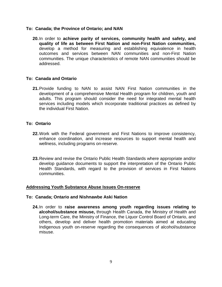#### **To: Canada; the Province of Ontario; and NAN**

**20.**In order to **achieve parity of services, community health and safety, and quality of life as between First Nation and non-First Nation communities,**  develop a method for measuring and establishing equivalence in health outcomes and services between NAN communities and non-First Nation communities. The unique characteristics of remote NAN communities should be addressed.

#### **To: Canada and Ontario**

**21.**Provide funding to NAN to assist NAN First Nation communities in the development of a comprehensive Mental Health program for children, youth and adults. This program should consider the need for integrated mental health services including models which incorporate traditional practices as defined by the individual First Nation.

#### **To: Ontario**

- **22.**Work with the Federal government and First Nations to improve consistency, enhance coordination, and increase resources to support mental health and wellness, including programs on-reserve.
- **23.**Review and revise the Ontario Public Health Standards where appropriate and/or develop guidance documents to support the interpretation of the Ontario Public Health Standards, with regard to the provision of services in First Nations communities.

#### **Addressing Youth Substance Abuse Issues On-reserve**

#### **To: Canada; Ontario and Nishnawbe Aski Nation**

**24.**In order to **raise awareness among youth regarding issues relating to alcohol/substance misuse,** through Health Canada, the Ministry of Health and Long-term Care, the Ministry of Finance, the Liquor Control Board of Ontario, and others, develop and deliver health promotion materials aimed at educating Indigenous youth on-reserve regarding the consequences of alcohol/substance misuse.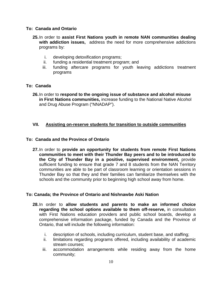#### **To: Canada and Ontario**

- **25.**In order to **assist First Nations youth in remote NAN communities dealing with addiction issues,** address the need for more comprehensive addictions programs by:
	- i. developing detoxification programs;
	- ii. funding a residential treatment program; and
	- iii. funding aftercare programs for youth leaving addictions treatment programs

#### **To: Canada**

**26.**In order to **respond to the ongoing issue of substance and alcohol misuse in First Nations communities,** increase funding to the National Native Alcohol and Drug Abuse Program ("NNADAP").

#### **VII. Assisting on-reserve students for transition to outside communities**

#### **To: Canada and the Province of Ontario**

**27.**In order to **provide an opportunity for students from remote First Nations communities to meet with their Thunder Bay peers and to be introduced to the City of Thunder Bay in a positive, supervised environment,** provide sufficient funding to ensure that grade 7 and 8 students from the NAN Territory communities are able to be part of classroom learning or orientation sessions in Thunder Bay so that they and their families can familiarize themselves with the schools and the community prior to beginning high school away from home.

#### **To: Canada; the Province of Ontario and Nishnawbe Aski Nation**

- **28.**In order to **allow students and parents to make an informed choice regarding the school options available to them off-reserve,** in consultation with First Nations education providers and public school boards, develop a comprehensive information package, funded by Canada and the Province of Ontario, that will include the following information:
	- i. description of schools, including curriculum, student base, and staffing;
	- ii. limitations regarding programs offered, including availability of academic stream courses;
	- iii. accommodation arrangements while residing away from the home community;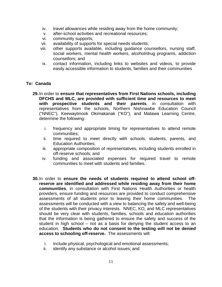- iv. travel allowances while residing away from the home community;
- v. after-school activities and recreational resources;
- vi. community supports;
- vii. availability of supports for special needs students;
- viii. other supports available, including guidance counsellors, nursing staff, social workers, mental health workers, alcohol/drug programs, addiction counsellors; and
- ix. contact information, including links to websites and videos, to provide easily accessible information to students, families and their communities

#### **To: Canada**

- **29.**In order to **ensure that representatives from First Nations schools, including DFCHS and MLC, are provided with sufficient time and resources to meet with prospective students and their parents**, in consultation with representatives from the schools, Northern Nishnawbe Education Council ("NNEC"), Keewaytinook Okimakanak ("KO"), and Matawa Learning Centre, determine the following:
	- i. frequency and appropriate timing for representatives to attend remote communities;
	- ii. time required to meet directly with schools, students, parents, and Education Authorities;
	- iii. appropriate composition of representatives, including students enrolled in off-reserve schools; and
	- iv. funding and associated expenses for required travel to remote communities to meet with students and families.
- **30.**In order to **ensure the needs of students required to attend school offreserve are identified and addressed while residing away from their home communities**, in consultation with First Nations Health Authorities or health providers, ensure funding and resources are provided to conduct comprehensive assessments of all students prior to leaving their home communities. The assessments will be conducted with a view to balancing the safety and well-being of the students with their privacy interests. NNEC, KO, and MLC representatives should be very clear with students, families, schools and education authorities that the information is being gathered to ensure the safety and success of the student in high school – not as a basis for denying the student access to an education. **Students who do not consent to the testing will not be denied access to schooling off-reserve.** The assessments will:
	- i. include physical, psychological and emotional assessments;
	- ii. identify any substance or alcohol issues; and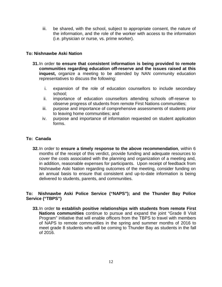iii. be shared, with the school, subject to appropriate consent, the nature of the information, and the role of the worker with access to the information (i.e. physician or nurse, vs. prime worker).

### **To: Nishnawbe Aski Nation**

- **31.**In order **to ensure that consistent information is being provided to remote communities regarding education off-reserve and the issues raised at this inquest,** organize a meeting to be attended by NAN community education representatives to discuss the following:
	- i. expansion of the role of education counsellors to include secondary school;
	- ii. importance of education counsellors attending schools off-reserve to observe progress of students from remote First Nations communities;
	- iii. purpose and importance of comprehensive assessments of students prior to leaving home communities; and
	- iv. purpose and importance of information requested on student application forms.

#### **To: Canada**

**32.**In order to **ensure a timely response to the above recommendation**, within 6 months of the receipt of this verdict, provide funding and adequate resources to cover the costs associated with the planning and organization of a meeting and, in addition, reasonable expenses for participants. Upon receipt of feedback from Nishnawbe Aski Nation regarding outcomes of the meeting, consider funding on an annual basis to ensure that consistent and up-to-date information is being delivered to students, parents, and communities.

#### **To: Nishnawbe Aski Police Service ("NAPS"); and the Thunder Bay Police Service ("TBPS")**

**33.**In order **to establish positive relationships with students from remote First Nations communities** continue to pursue and expand the joint "Grade 8 Visit Program" initiative that will enable officers from the TBPS to travel with members of NAPS to remote communities in the spring and summer months of 2016 to meet grade 8 students who will be coming to Thunder Bay as students in the fall of 2016.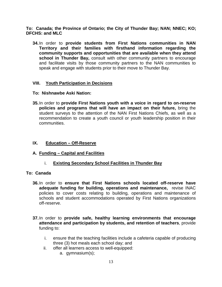**To: Canada; the Province of Ontario; the City of Thunder Bay; NAN; NNEC; KO; DFCHS: and MLC**

**34.**In order to **provide students from First Nations communities in NAN Territory and their families with firsthand information regarding the community supports and opportunities that are available when they attend school in Thunder Bay,** consult with other community partners to encourage and facilitate visits by those community partners to the NAN communities to speak and engage with students prior to their move to Thunder Bay.

# **VIII. Youth Participation in Decisions**

#### **To: Nishnawbe Aski Nation:**

**35.**In order to **provide First Nations youth with a voice in regard to on-reserve policies and programs that will have an impact on their future,** bring the student surveys to the attention of the NAN First Nations Chiefs, as well as a recommendation to create a youth council or youth leadership position in their communities.

### **IX. Education – Off-Reserve**

#### **A. Funding – Capital and Facilities**

i. **Existing Secondary School Facilities in Thunder Bay**

#### **To: Canada**

- **36.**In order to **ensure that First Nations schools located off-reserve have adequate funding for building, operations and maintenance,** revise INAC policies to cover costs relating to building, operations and maintenance of schools and student accommodations operated by First Nations organizations off-reserve.
- **37.**In order to **provide safe, healthy learning environments that encourage attendance and participation by students, and retention of teachers**, provide funding to:
	- i. ensure that the teaching facilities include a cafeteria capable of producing three (3) hot meals each school day; and
	- ii. offer all learners access to well-equipped:
		- a. gymnasium(s);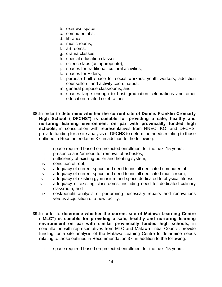- b. exercise space;
- c. computer labs;
- d. libraries;
- e. music rooms;
- f. art rooms;
- g. drama classes;
- h. special education classes;
- i. science labs (as appropriate);
- j. spaces for traditional, cultural activities;
- k. spaces for Elders;
- l. purpose built space for social workers, youth workers, addiction counsellors, and activity coordinators;
- m. general purpose classrooms; and
- n. spaces large enough to host graduation celebrations and other education-related celebrations.
- **38.**In order to **determine whether the current site of Dennis Franklin Cromarty High School ("DFCHS") is suitable for providing a safe, healthy and nurturing learning environment on par with provincially funded high schools,** in consultation with representatives from NNEC, KO, and DFCHS, provide funding for a site analysis of DFCHS to determine needs relating to those outlined in Recommendation 37, in addition to the following:
	- i. space required based on projected enrollment for the next 15 years;
	- ii. presence and/or need for removal of asbestos;
	- iii. sufficiency of existing boiler and heating system;
	- iv. condition of roof;
	- v. adequacy of current space and need to install dedicated computer lab;
	- vi. adequacy of current space and need to install dedicated music room;
	- vii. adequacy of existing gymnasium and space dedicated to physical fitness;
	- viii. adequacy of existing classrooms, including need for dedicated culinary classroom; and
	- ix. cost/benefit analysis of performing necessary repairs and renovations versus acquisition of a new facility.
- **39.**In order to **determine whether the current site of Matawa Learning Centre ("MLC") is suitable for providing a safe, healthy and nurturing learning environment on par with similar provincially funded high schools,** in consultation with representatives from MLC and Matawa Tribal Council, provide funding for a site analysis of the Matawa Leaning Centre to determine needs relating to those outlined in Recommendation 37, in addition to the following:
	- i. space required based on projected enrollment for the next 15 years;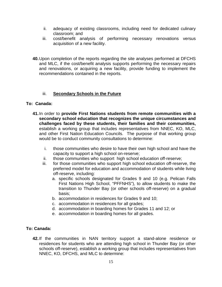- ii. adequacy of existing classrooms, including need for dedicated culinary classroom; and
- iii. cost/benefit analysis of performing necessary renovations versus acquisition of a new facility.
- **40.**Upon completion of the reports regarding the site analyses performed at DFCHS and MLC, if the cost/benefit analysis supports performing the necessary repairs and renovations, or acquiring a new facility, provide funding to implement the recommendations contained in the reports.

# iii. **Secondary Schools in the Future**

# **To: Canada:**

- **41.**In order to **provide First Nations students from remote communities with a secondary school education that recognizes the unique circumstances and challenges faced by these students, their families and their communities,**  establish a working group that includes representatives from NNEC, KO, MLC, and other First Nation Education Councils. The purpose of that working group would be to conduct community consultations to determine:
	- i. those communities who desire to have their own high school and have the capacity to support a high school on-reserve;
	- ii. those communities who support high school education off-reserve;
	- iii. for those communities who support high school education off-reserve, the preferred model for education and accommodation of students while living off-reserve, including:
		- a. specific schools designated for Grades 9 and 10 (e.g. Pelican Falls First Nations High School, "PFFNHS"), to allow students to make the transition to Thunder Bay (or other schools off-reserve) on a gradual basis;
		- b. accommodation in residences for Grades 9 and 10;
		- c. accommodation in residences for all grades;
		- d. accommodation in boarding homes for Grades 11 and 12; or
		- e. accommodation in boarding homes for all grades.

#### **To: Canada:**

**42.**If the communities in NAN territory support a stand-alone residence or residences for students who are attending high school in Thunder Bay (or other schools off-reserve), establish a working group that includes representatives from NNEC, KO, DFCHS, and MLC to determine: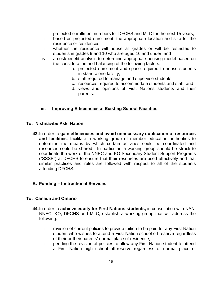- i. projected enrollment numbers for DFCHS and MLC for the next 15 years;
- ii. based on projected enrollment, the appropriate location and size for the residence or residences;
- iii. whether the residence will house all grades or will be restricted to students in grades 9 and 10 who are aged 16 and under; and
- iv. a cost/benefit analysis to determine appropriate housing model based on the consideration and balancing of the following factors:
	- a. projected enrollment and space required to house students in stand-alone facility;
	- b. staff required to manage and supervise students;
	- c. resources required to accommodate students and staff; and
	- d. views and opinions of First Nations students and their parents.

# **iii. Improving Efficiencies at Existing School Facilities**

#### **To: Nishnawbe Aski Nation**

**43.**In order to **gain efficiencies and avoid unnecessary duplication of resources and facilities**, facilitate a working group of member education authorities to determine the means by which certain activities could be coordinated and resources could be shared. In particular, a working group should be struck to coordinate the work of the NNEC and KO Secondary Student Support Programs ("SSSP") at DFCHS to ensure that their resources are used effectively and that similar practices and rules are followed with respect to all of the students attending DFCHS.

#### **B. Funding – Instructional Services**

#### **To: Canada and Ontario**

- **44.**In order to **achieve equity for First Nations students,** in consultation with NAN, NNEC, KO, DFCHS and MLC, establish a working group that will address the following:
	- i. revision of current policies to provide tuition to be paid for any First Nation student who wishes to attend a First Nation school off-reserve regardless of their or their parents' normal place of residence;
	- ii. pending the revision of policies to allow any First Nation student to attend a First Nation high school off-reserve regardless of normal place of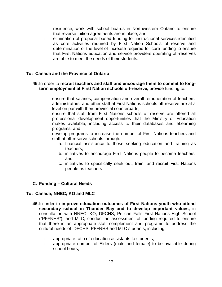residence, work with school boards in Northwestern Ontario to ensure that reverse tuition agreements are in place; and

iii. elimination of proposal based funding for instructional services identified as core activities required by First Nation Schools off-reserve and determination of the level of increase required for core funding to ensure that First Nations education and service providers operating off-reserves are able to meet the needs of their students.

#### **To: Canada and the Province of Ontario**

#### **45.**In order to **recruit teachers and staff and encourage them to commit to longterm employment at First Nation schools off-reserve,** provide funding to:

- i. ensure that salaries, compensation and overall remuneration of teachers, administrators, and other staff at First Nations schools off-reserve are at a level on par with their provincial counterparts;
- ii. ensure that staff from First Nations schools off-reserve are offered all professional development opportunities that the Ministry of Education makes available, including access to their databases and eLearning programs; and
- iii. develop programs to increase the number of First Nations teachers and staff at off-reserve schools through:
	- a. financial assistance to those seeking education and training as teachers;
	- b. initiatives to encourage First Nations people to become teachers; and
	- c. initiatives to specifically seek out, train, and recruit First Nations people as teachers

#### **C. Funding – Cultural Needs**

#### **To: Canada; NNEC; KO and MLC**

- **46.**In order to **improve education outcomes of First Nations youth who attend secondary school in Thunder Bay and to develop important values,** in consultation with NNEC, KO, DFCHS, Pelican Falls First Nations High School ("PFFNHS"), and MLC, conduct an assessment of funding required to ensure that there is an appropriate staff complement and programs to address the cultural needs of DFCHS, PFFNHS and MLC students, including:
	- i. appropriate ratio of education assistants to students;
	- ii. appropriate number of Elders (male and female) to be available during school hours;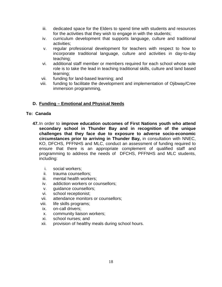- iii. dedicated space for the Elders to spend time with students and resources for the activities that they wish to engage in with the students;
- iv. curriculum development that supports language, culture and traditional activities;
- v. regular professional development for teachers with respect to how to incorporate traditional language, culture and activities in day-to-day teaching;
- vi. additional staff member or members required for each school whose sole role is to take the lead in teaching traditional skills, culture and land based learning;
- vii. funding for land-based learning; and
- viii. funding to facilitate the development and implementation of Ojibway/Cree immersion programming,

# **D. Funding – Emotional and Physical Needs**

#### **To: Canada**

- **47.**In order to **improve education outcomes of First Nations youth who attend secondary school in Thunder Bay and in recognition of the unique challenges that they face due to exposure to adverse socio-economic circumstances prior to arriving in Thunder Bay,** in consultation with NNEC, KO, DFCHS, PFFNHS and MLC, conduct an assessment of funding required to ensure that there is an appropriate complement of qualified staff and programming to address the needs of DFCHS, PFFNHS and MLC students, including:
	- i. social workers;
	- ii. trauma counsellors;
	- iii. mental health workers;
	- iv. addiction workers or counsellors;
	- v. guidance counsellors;
	- vi. school receptionist;
	- vii. attendance monitors or counsellors;
	- viii. life skills programs;
	- ix. on-call drivers;
	- x. community liaison workers;
	- xi. school nurses; and
	- xii. provision of healthy meals during school hours.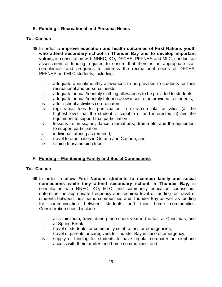# **E. Funding – Recreational and Personal Needs**

#### **To: Canada**

- **48.**In order to **improve education and health outcomes of First Nations youth who attend secondary school in Thunder Bay and to develop important values,** in consultation with NNEC, KO, DFCHS, PFFNHS and MLC, conduct an assessment of funding required to ensure that there is an appropriate staff complement and programs to address the recreational needs of DFCHS, PFFNHS and MLC students, including:
	- i. adequate annual/monthly allowances to be provided to students for their recreational and personal needs;
	- ii. adequate annual/monthly clothing allowances to be provided to students;
	- iii. adequate annual/monthly tutoring allowances to be provided to students;
	- iv. after-school activities co-ordinators;
	- v. registration fees for participation in extra-curricular activities (at the highest level that the student is capable of and interested in) and the equipment to support that participation;
	- vi. lessons in: music, art, dance, martial arts, drama etc. and the equipment to support participation;
	- vii. individual tutoring as required;
	- viii. travel to other cities in Ontario and Canada; and
	- ix. fishing trips/camping trips.

#### **F. Funding – Maintaining Family and Social Connections**

#### **To: Canada**

- **49.**In order to **allow First Nations students to maintain family and social connections while they attend secondary school in Thunder Bay,** in consultation with NNEC, KO, MLC, and community education counsellors, determine the appropriate frequency and required level of funding for travel of students between their home communities and Thunder Bay as well as funding for communication between students and their home communities. Consideration should include:
	- i. at a minimum, travel during the school year in the fall, at Christmas, and at Spring Break;
	- ii. travel of students for community celebrations or emergencies;
	- iii. travel of parents or caregivers to Thunder Bay in case of emergency;
	- iv. supply or funding for students to have regular computer or telephone access with their families and home communities; and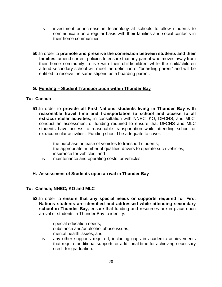- v. investment or increase in technology at schools to allow students to communicate on a regular basis with their families and social contacts in their home communities.
- **50.**In order to **promote and preserve the connection between students and their families,** amend current policies to ensure that any parent who moves away from their home community to live with their child/children while the child/children attend secondary school will meet the definition of "boarding parent" and will be entitled to receive the same stipend as a boarding parent.

# **G. Funding – Student Transportation within Thunder Bay**

#### **To: Canada**

- **51.**In order to **provide all First Nations students living in Thunder Bay with reasonable travel time and transportation to school and access to all extracurricular activities,** in consultation with NNEC, KO, DFCHS, and MLC, conduct an assessment of funding required to ensure that DFCHS and MLC students have access to reasonable transportation while attending school or extracurricular activities. Funding should be adequate to cover:
	- i. the purchase or lease of vehicles to transport students;
	- ii. the appropriate number of qualified drivers to operate such vehicles;
	- iii. insurance for vehicles; and
	- iv. maintenance and operating costs for vehicles.

# **H. Assessment of Students upon arrival in Thunder Bay**

#### **To: Canada; NNEC; KO and MLC**

- **52.**In order to **ensure that any special needs or supports required for First Nations students are identified and addressed while attending secondary**  school in Thunder Bay, ensure that funding and resources are in place upon arrival of students in Thunder Bay to identify:
	- i. special education needs;
	- ii. substance and/or alcohol abuse issues;
	- iii. mental health issues; and
	- iv. any other supports required, including gaps in academic achievements that require additional supports or additional time for achieving necessary credit for graduation.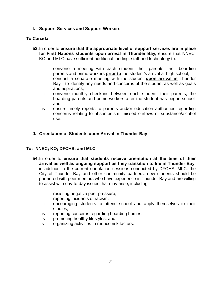# **I. Support Services and Support Workers**

# **To Canada**

- **53.**In order to **ensure that the appropriate level of support services are in place for First Nations students upon arrival in Thunder Bay,** ensure that NNEC, KO and MLC have sufficient additional funding, staff and technology to:
	- i. convene a meeting with each student, their parents, their boarding parents and prime workers **prior to** the student's arrival at high school;
	- ii. conduct a separate meeting with the student **upon arrival in** Thunder Bay to identify any needs and concerns of the student as well as goals and aspirations;
	- iii. convene monthly check-ins between each student, their parents, the boarding parents and prime workers after the student has begun school; and
	- iv. ensure timely reports to parents and/or education authorities regarding concerns relating to absenteeism, missed curfews or substance/alcohol use.

# **J. Orientation of Students upon Arrival in Thunder Bay**

#### **To: NNEC; KO; DFCHS; and MLC**

- **54.**In order to **ensure that students receive orientation at the time of their arrival as well as ongoing support as they transition to life in Thunder Bay,**  in addition to the current orientation sessions conducted by DFCHS, MLC, the City of Thunder Bay and other community partners, new students should be partnered with peer mentors who have experience in Thunder Bay and are willing to assist with day-to-day issues that may arise, including:
	- i. resisting negative peer pressure;
	- ii. reporting incidents of racism;
	- iii. encouraging students to attend school and apply themselves to their studies;
	- iv. reporting concerns regarding boarding homes;
	- v. promoting healthy lifestyles; and
	- vi. organizing activities to reduce risk factors.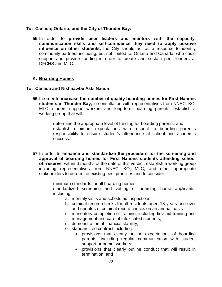#### **To: Canada; Ontario; and the City of Thunder Bay:**

**55.**In order to **provide peer leaders and mentors with the capacity, communication skills and self-confidence they need to apply positive influence on other students,** the City should act as a resource to identify community partners including, but not limited to, Ontario and Canada, who could support and provide funding in order to create and sustain peer leaders at DFCHS and MLC.

#### **K. Boarding Homes**

#### **To: Canada and Nishnawbe Aski Nation**

- **56.**In order to **increase the number of quality boarding homes for First Nations students in Thunder Bay,** in consultation with representatives from NNEC, KO, MLC, student support workers and long-term boarding parents, establish a working group that will:
	- i. determine the appropriate level of funding for boarding parents; and
	- ii. establish minimum expectations with respect to boarding parent's responsibility to ensure student's attendance at school and academic success.
- **57.**In order to **enhance and standardize the procedure for the screening and approval of boarding homes for First Nations students attending school off-reserve**, within 6 months of the date of this verdict, establish a working group including representatives from NNEC, KO, MLC, and other appropriate stakeholders to determine existing best practices and to consider:
	- i. minimum standards for all boarding homes;
	- ii. standardized screening and vetting of boarding home applicants, including:
		- a. monthly visits and scheduled inspections
		- b. criminal record checks for all residents aged 18 years and over and updates of criminal record checks on an annual basis
		- c. mandatory completion of training, including first aid training and management and care of intoxicated students;
		- d. demonstration of financial stability;
		- e. standardized contract including:
			- provisions that clearly outline expectations of boarding parents, including regular communication with student support or prime workers;
			- provisions that clearly outline conduct that will result in termination; and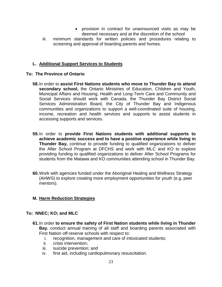- provision in contract for unannounced visits as may be deemed necessary and at the discretion of the school
- iii. minimum standards for written policies and procedures relating to screening and approval of boarding parents and homes.

# **L. Additional Support Services to Students**

#### **To: The Province of Ontario**

- **58.**In order to **assist First Nations students who move to Thunder Bay to attend secondary school,** the Ontario Ministries of Education, Children and Youth, Municipal Affairs and Housing, Health and Long-Term Care and Community and Social Services should work with Canada, the Thunder Bay District Social Services Administration Board, the City of Thunder Bay and Indigenous communities and organizations to support a well-coordinated suite of housing, income, recreation and health services and supports to assist students in accessing supports and services.
- **59.**In order to **provide First Nations students with additional supports to achieve academic success and to have a positive experience while living in Thunder Bay,** continue to provide funding to qualified organizations to deliver the After School Program at DFCHS and work with MLC and KO to explore providing funding to qualified organizations to deliver After School Programs for students from the Matawa and KO communities attending school in Thunder Bay.
- **60.**Work with agencies funded under the Aboriginal Healing and Wellness Strategy (AHWS) to explore creating more employment opportunities for youth (e.g. peer mentors).

#### **M. Harm Reduction Strategies**

#### **To: NNEC; KO; and MLC**

- **61.**In order **to ensure the safety of First Nation students while living in Thunder Bay**, conduct annual training of all staff and boarding parents associated with First Nation off-reserve schools with respect to:
	- i. recognition, management and care of intoxicated students;<br>ii. crisis intervention:
	- crisis intervention;
	- iii. suicide prevention; and
	- iv. first aid, including cardiopulmonary resuscitation.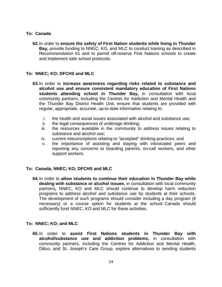### **To: Canada**

**62.**In order to **ensure the safety of First Nation students while living in Thunder Bay,** provide funding to NNEC, KO, and MLC to conduct training as described in Recommendation 61 and to permit off-reserve First Nations schools to create and implement safe school protocols.

# **To: NNEC; KO; DFCHS and MLC**

- **63.**In order to **increase awareness regarding risks related to substance and alcohol use and ensure consistent mandatory education of First Nations students attending school in Thunder Bay,** in consultation with local community partners, including the Centres for Addiction and Mental Health and the Thunder Bay District Health Unit, ensure that students are provided with regular, appropriate, accurate, up-to-date information relating to:
	- i. the health and social issues associated with alcohol and substance use;
	- ii. the legal consequences of underage drinking;
	- iii. the resources available in the community to address issues relating to substance and alcohol use;
	- iv. current misconceptions relating to "accepted" drinking practices; and
	- v. the importance of assisting and staying with intoxicated peers and reporting any concerns to boarding parents, on-call workers, and other support workers.

#### **To: Canada, NNEC; KO; DFCHS and MLC**

**64.**In order to **allow students to continue their education in Thunder Bay while dealing with substance or alcohol issues**, in consultation with local community partners**,** NNEC, KO and MLC should continue to develop harm reduction programs to address alcohol and substance use by students at their schools. The development of such programs should consider including a day program (if necessary) or a course option for students at the school. Canada should sufficiently fund NNEC, KO and MLC for these activities.

#### **To: NNEC; KO; and MLC**

**65.**In order to **assist First Nations students in Thunder Bay with alcohol/substance use and addiction problems,** in consultation with community partners, including the Centres for Addiction and Mental Health, Dilico, and St. Joseph's Care Group, explore alternatives to sending students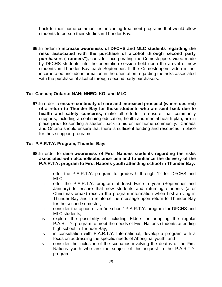back to their home communities, including treatment programs that would allow students to pursue their studies in Thunder Bay.

**66.**In order to **increase awareness of DFCHS and MLC students regarding the risks associated with the purchase of alcohol through second party purchasers ("runners"),** consider incorporating the Crimestoppers video made by DFCHS students into the orientation session held upon the arrival of new students in Thunder Bay each September. If the Crimestoppers video is not incorporated, include information in the orientation regarding the risks associated with the purchase of alcohol through second party purchasers.

#### **To: Canada; Ontario; NAN; NNEC; KO; and MLC**

**67.**In order to **ensure continuity of care and increased prospect (where desired) of a return to Thunder Bay for those students who are sent back due to health and safety concerns,** make all efforts to ensure that community supports, including a continuing education, health and mental health plan, are in place **prior to** sending a student back to his or her home community. Canada and Ontario should ensure that there is sufficient funding and resources in place for these support programs.

### **To: P.A.R.T.Y. Program, Thunder Bay:**

- **68.**In order to **raise awareness of First Nations students regarding the risks associated with alcohol/substance use and to enhance the delivery of the P.A.R.T.Y. program to First Nations youth attending school in Thunder Bay:**
	- i. offer the P.A.R.T.Y. program to grades 9 through 12 for DFCHS and MLC;
	- ii. offer the P.A.R.T.Y. program at least twice a year (September and January) to ensure that new students and returning students (after Christmas break) receive the program information when first arriving in Thunder Bay and to reinforce the message upon return to Thunder Bay for the second semester;
	- iii. consider the option of an "in-school" P.A.R.T.Y. program for DFCHS and MLC students;
	- iv. explore the possibility of including Elders or adapting the regular P.A.R.T.Y. program to meet the needs of First Nations students attending high school in Thunder Bay;
	- v. in consultation with P.A.R.T.Y. International, develop a program with a focus on addressing the specific needs of Aboriginal youth; and
	- vi. consider the inclusion of the scenarios involving the deaths of the First Nations youth who are the subject of this inquest in the P.A.R.T.Y. program.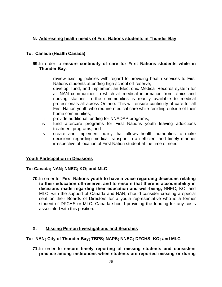# **N. Addressing health needs of First Nations students in Thunder Bay**

# **To: Canada (Health Canada)**

#### **69.**In order to **ensure continuity of care for First Nations students while in Thunder Bay**:

- i. review existing policies with regard to providing health services to First Nations students attending high school off-reserve;
- ii. develop, fund, and implement an Electronic Medical Records system for all NAN communities in which all medical information from clinics and nursing stations in the communities is readily available to medical professionals all across Ontario. This will ensure continuity of care for all First Nation youth who require medical care while residing outside of their home communities;
- iii. provide additional funding for NNADAP programs;
- iv. fund aftercare programs for First Nations youth leaving addictions treatment programs; and
- v. create and implement policy that allows health authorities to make decisions regarding medical transport in an efficient and timely manner irrespective of location of First Nation student at the time of need.

#### **Youth Participation in Decisions**

#### **To: Canada; NAN; NNEC; KO; and MLC**

**70.**In order for **First Nations youth to have a voice regarding decisions relating to their education off-reserve, and to ensure that there is accountability in decisions made regarding their education and well-being,** NNEC, KO, and MLC, with the support of Canada and NAN, should consider creating a special seat on their Boards of Directors for a youth representative who is a former student of DFCHS or MLC. Canada should providing the funding for any costs associated with this position.

#### **X. Missing Person Investigations and Searches**

#### **To: NAN; City of Thunder Bay; TBPS; NAPS; NNEC; DFCHS; KO; and MLC**

**71.**In order to **ensure timely reporting of missing students and consistent practice among institutions when students are reported missing or during**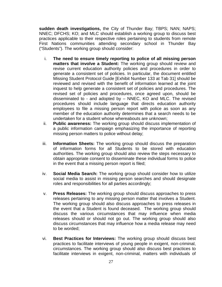**sudden death investigations,** the City of Thunder Bay; TBPS; NAN; NAPS; NNEC; DFCHS; KO; and MLC should establish a working group to discuss best practices applicable to their respective roles pertaining to students from remote First Nations communities attending secondary school in Thunder Bay ("Students"). The working group should consider:

- i. **The need to ensure timely reporting to police of all missing person matters that involve a Student:** The working group should review and revise current education authority policies and procedures in order to generate a consistent set of policies. In particular, the document entitled Missing Student Protocol Guide [Exhibit Number 133 at Tab 31] should be reviewed and revised with the benefit of information learned at the joint inquest to help generate a consistent set of policies and procedures. The revised set of policies and procedures, once agreed upon, should be disseminated to - and adopted by – NNEC, KO and MLC. The revised procedures should include language that directs education authority employees to file a missing person report with police as soon as any member of the education authority determines that a search needs to be undertaken for a student whose whereabouts are unknown;
- ii. **Public awareness:** The working group should discuss implementation of a public information campaign emphasizing the importance of reporting missing person matters to police without delay;
- iii. **Information Sheets:** The working group should discuss the preparation of information forms for all Students to be stored with education authorities. The working group should also review the steps necessary to obtain appropriate consent to disseminate these individual forms to police in the event that a missing person report is filed;
- iv. **Social Media Search:** The working group should consider how to utilize social media to assist in missing person searches and should designate roles and responsibilities for all parties accordingly;
- v. **Press Releases:** The working group should discuss approaches to press releases pertaining to any missing person matter that involves a Student. The working group should also discuss approaches to press releases in the event that a Student is found deceased. The working group should discuss the various circumstances that may influence when media releases should or should not go out. The working group should also discuss circumstances that may influence how a media release may need to be worded;
- vi. **Best Practices for Interviews:** The working group should discuss best practices to facilitate interviews of young people in exigent, non-criminal, circumstances. The working group should also discuss best practices to facilitate interviews in exigent, non-criminal, matters with individuals of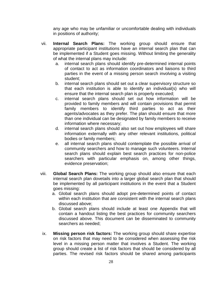any age who may be unfamiliar or uncomfortable dealing with individuals in positions of authority;

- vii. **Internal Search Plans:** The working group should ensure that appropriate participant institutions have an internal search plan that can be implemented if a Student goes missing. Without limiting the generality of what the internal plans may include:
	- a. internal search plans should identify pre-determined internal points of contact to act as information coordinators and liaisons to third parties in the event of a missing person search involving a visiting student;
	- b. internal search plans should set out a clear supervisory structure so that each institution is able to identify an individual(s) who will ensure that the internal search plan is properly executed;
	- c. internal search plans should set out how information will be provided to family members and will contain provisions that permit family members to identify third parties to act as their agents/advocates as they prefer. The plan should ensure that more than one individual can be designated by family members to receive information where necessary;
	- d. internal search plans should also set out how employees will share information externally with any other relevant institutions, political bodies or family members;
	- e. all internal search plans should contemplate the possible arrival of community searchers and how to manage such volunteers. Internal search plans should explain best search practices for non-police searchers with particular emphasis on, among other things, evidence preservation;
- viii. **Global Search Plans:** The working group should also ensure that each internal search plan dovetails into a larger global search plan that should be implemented by all participant institutions in the event that a Student goes missing:
	- a. Global search plans should adopt pre-determined points of contact within each institution that are consistent with the internal search plans discussed above;
	- b. Global search plans should include at least one Appendix that will contain a handout listing the best practices for community searchers discussed above. This document can be disseminated to community searchers as needed;
- ix. **Missing person risk factors:** The working group should share expertise on risk factors that may need to be considered when assessing the risk level in a missing person matter that involves a Student. The working group should create a list of risk factors that should be considered by all parties. The revised risk factors should be shared among participants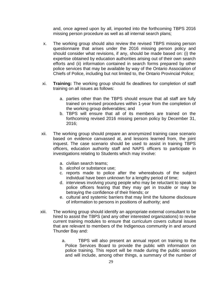and, once agreed upon by all, imported into the forthcoming TBPS 2016 missing person procedure as well as all internal search plans;

- x. The working group should also review the revised TBPS missing person questionnaire that arises under the 2016 missing person policy and should consider what revisions, if any, should be made based on: (i) the expertise obtained by education authorities arising out of their own search efforts and (ii) information contained in search forms prepared by other police services that may be available by way of the Ontario Association of Chiefs of Police, including but not limited to, the Ontario Provincial Police;
- xi. **Training:** The working group should fix deadlines for completion of staff training on all issues as follows:
	- a. parties other than the TBPS should ensure that all staff are fully trained on revised procedures within 1-year from the completion of the working group deliverables; and
	- b. TBPS will ensure that all of its members are trained on the forthcoming revised 2016 missing person policy by December 31, 2016;
- xii. The working group should prepare an anonymized training case scenario based on evidence canvassed at, and lessons learned from, the joint inquest. The case scenario should be used to assist in training TBPS officers, education authority staff and NAPS officers to participate in investigations relating to Students which may involve:
	- a. civilian search teams;
	- b. alcohol or substance use;
	- c. reports made to police after the whereabouts of the subject individual have been unknown for a lengthy period of time;
	- d. interviews involving young people who may be reluctant to speak to police officers fearing that they may get in trouble or may be betraying the confidence of their friends; or
	- e. cultural and systemic barriers that may limit the fulsome disclosure of information to persons in positions of authority; and
- xiii. The working group should identify an appropriate external consultant to be hired to assist the TBPS (and any other interested organizations) to revise current training modules to ensure that curriculum covers cultural issues that are relevant to members of the Indigenous community in and around Thunder Bay and:
	- a. TBPS will also present an annual report on training to the Police Services Board to provide the public with information on police training. This report will be made during the public session and will include, among other things, a summary of the number of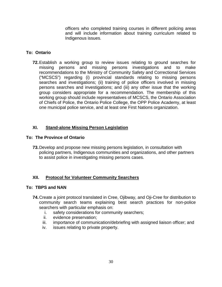officers who completed training courses in different policing areas and will include information about training curriculum related to Indigenous issues.

# **To: Ontario**

**72.**Establish a working group to review issues relating to ground searches for missing persons and missing persons investigations and to make recommendations to the Ministry of Community Safety and Correctional Services ("MCSCS") regarding (i) provincial standards relating to missing persons searches and investigations; (ii) training of police officers involved in missing persons searches and investigations; and (iii) any other issue that the working group considers appropriate for a recommendation. The membership of this working group should include representatives of MCSCS, the Ontario Association of Chiefs of Police, the Ontario Police College, the OPP Police Academy, at least one municipal police service, and at least one First Nations organization.

# **XI. Stand-alone Missing Person Legislation**

#### **To: The Province of Ontario**

**73.**Develop and propose new missing persons legislation, in consultation with policing partners, Indigenous communities and organizations, and other partners to assist police in investigating missing persons cases.

# **XII. Protocol for Volunteer Community Searchers**

#### **To: TBPS and NAN**

- **74.**Create a joint protocol translated in Cree, Ojibway, and Oji-Cree for distribution to community search teams explaining best search practices for non-police searchers with particular emphasis on:
	- i. safety considerations for community searchers;<br>ii. evidence preservation;
	- evidence preservation;
	- iii. importance of communication/debriefing with assigned liaison officer; and
	- iv. issues relating to private property.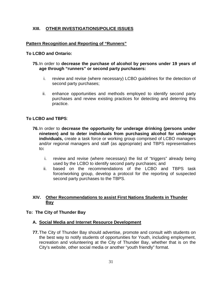# **XIII. OTHER INVESTIGATIONS/POLICE ISSUES**

# **Pattern Recognition and Reporting of "Runners"**

#### **To LCBO and Ontario:**

#### **75.**In order to **decrease the purchase of alcohol by persons under 19 years of age through "runners" or second party purchasers:**

- i. review and revise (where necessary) LCBO guidelines for the detection of second party purchases;
- ii. enhance opportunities and methods employed to identify second party purchases and review existing practices for detecting and deterring this practice.

# **To LCBO and TBPS**:

- **76.**In order to **decrease the opportunity for underage drinking (persons under nineteen) and to deter individuals from purchasing alcohol for underage individuals,** create a task force or working group comprised of LCBO managers and/or regional managers and staff (as appropriate) and TBPS representatives to**:**
	- i. review and revise (where necessary) the list of "triggers" already being used by the LCBO to identify second party purchases; and
	- ii. based on the recommendations of the LCBO and TBPS task force/working group, develop a protocol for the reporting of suspected second party purchases to the TBPS.

# **XIV. Other Recommendations to assist First Nations Students in Thunder Bay**

#### **To: The City of Thunder Bay**

#### **A. Social Media and Internet Resource Development**

**77.**The City of Thunder Bay should advertise, promote and consult with students on the best way to notify students of opportunities for Youth, including employment, recreation and volunteering at the City of Thunder Bay, whether that is on the City's website, other social media or another "youth friendly" format.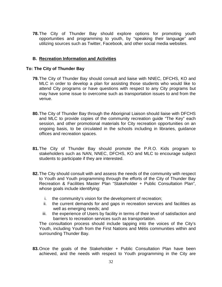**78.**The City of Thunder Bay should explore options for promoting youth opportunities and programming to youth, by "speaking their language" and utilizing sources such as Twitter, Facebook, and other social media websites.

#### **B. Recreation Information and Activities**

#### **To: The City of Thunder Bay**

- **79.**The City of Thunder Bay should consult and liaise with NNEC, DFCHS, KO and MLC in order to develop a plan for assisting those students who would like to attend City programs or have questions with respect to any City programs but may have some issue to overcome such as transportation issues to and from the venue.
- **80.**The City of Thunder Bay through the Aboriginal Liaison should liaise with DFCHS and MLC to provide copies of the community recreation guide "The Key" each session, and other promotional materials for City recreation opportunities on an ongoing basis, to be circulated in the schools including in libraries, guidance offices and recreation spaces.
- **81.**The City of Thunder Bay should promote the P.R.O. Kids program to stakeholders such as NAN, NNEC, DFCHS, KO and MLC to encourage subject students to participate if they are interested.
- **82.**The City should consult with and assess the needs of the community with respect to Youth and Youth programming through the efforts of the City of Thunder Bay Recreation & Facilities Master Plan "Stakeholder + Public Consultation Plan", whose goals include identifying:
	- i. the community's vision for the development of recreation;
	- ii. the current demands for and gaps in recreation services and facilities as well as emerging needs; and
	- iii. the experience of Users by facility in terms of their level of satisfaction and barriers to recreation services such as transportation.

The consultation process should include tapping into the voices of the City's Youth, including Youth from the First Nations and Métis communities within and surrounding Thunder Bay.

**83.**Once the goals of the Stakeholder + Public Consultation Plan have been achieved, and the needs with respect to Youth programming in the City are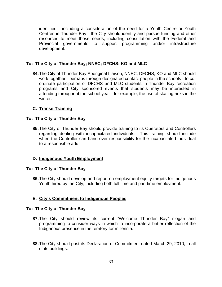identified - including a consideration of the need for a Youth Centre or Youth Centres in Thunder Bay - the City should identify and pursue funding and other resources to meet those needs, including consultation with the Federal and Provincial governments to support programming and/or infrastructure development.

### **To: The City of Thunder Bay; NNEC; DFCHS; KO and MLC**

**84.**The City of Thunder Bay Aboriginal Liaison, NNEC, DFCHS, KO and MLC should work together - perhaps through designated contact people in the schools - to coordinate participation of DFCHS and MLC students in Thunder Bay recreation programs and City sponsored events that students may be interested in attending throughout the school year - for example, the use of skating rinks in the winter.

# **C. Transit Training**

#### **To: The City of Thunder Bay**

**85.**The City of Thunder Bay should provide training to its Operators and Controllers regarding dealing with incapacitated individuals. This training should include when the Controller can hand over responsibility for the incapacitated individual to a responsible adult.

#### **D. Indigenous Youth Employment**

#### **To: The City of Thunder Bay**

**86.**The City should develop and report on employment equity targets for Indigenous Youth hired by the City, including both full time and part time employment.

# **E. City's Commitment to Indigenous Peoples**

#### **To: The City of Thunder Bay**

- **87.**The City should review its current "Welcome Thunder Bay" slogan and programming to consider ways in which to incorporate a better reflection of the Indigenous presence in the territory for millennia.
- **88.**The City should post its Declaration of Commitment dated March 29, 2010, in all of its buildings.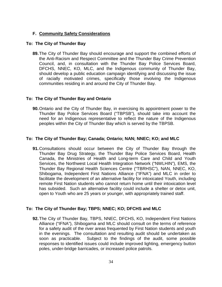# **F. Community Safety Considerations**

#### **To: The City of Thunder Bay**

**89.**The City of Thunder Bay should encourage and support the combined efforts of the Anti-Racism and Respect Committee and the Thunder Bay Crime Prevention Council, and, in consultation with the Thunder Bay Police Services Board, DFCHS, NNEC, KO, MLC, and the Indigenous community of Thunder Bay, should develop a public education campaign identifying and discussing the issue of racially motivated crimes, specifically those involving the Indigenous communities residing in and around the City of Thunder Bay.

#### **To: The City of Thunder Bay and Ontario**

**90.**Ontario and the City of Thunder Bay, in exercising its appointment power to the Thunder Bay Police Services Board ("TBPSB"), should take into account the need for an Indigenous representative to reflect the nature of the Indigenous peoples within the City of Thunder Bay which is served by the TBPSB.

# **To: The City of Thunder Bay; Canada; Ontario; NAN; NNEC; KO; and MLC**

**91.**Consultations should occur between the City of Thunder Bay through the Thunder Bay Drug Strategy, the Thunder Bay Police Services Board, Health Canada, the Ministries of Health and Long-term Care and Child and Youth Services, the Northwest Local Health Integration Network ("NWLHIN"), EMS, the Thunder Bay Regional Health Sciences Centre ("TBRHSC"), NAN, NNEC, KO, Shibogama, Independent First Nations Alliance ("IFNA") and MLC in order to facilitate the development of an alternative facility for intoxicated Youth, including remote First Nation students who cannot return home until their intoxication level has subsided. Such an alternative facility could include a shelter or detox unit, open to Youth who are 25 years or younger, with appropriately trained staff.

# **To: The City of Thunder Bay; TBPS; NNEC; KO; DFCHS and MLC**

**92.**The City of Thunder Bay, TBPS, NNEC, DFCHS, KO, Independent First Nations Alliance ("IFNA"), Shibogama and MLC should consult on the terms of reference for a safety audit of the river areas frequented by First Nation students and youth in the evenings. The consultation and resulting audit should be undertaken as soon as practicable. Subject to the findings of the audit, some possible responses to identified issues could include improved lighting, emergency button poles, under-bridge barricades, or increased police patrols.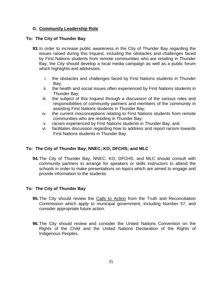## **G. Community Leadership Role**

## **To: The City of Thunder Bay**

- **93.**In order to increase public awareness in the City of Thunder Bay regarding the issues raised during this Inquest, including the obstacles and challenges faced by First Nations students from remote communities who are residing in Thunder Bay, the City should develop a local media campaign as well as a public forum which highlights and addresses:
	- i. the obstacles and challenges faced by First Nations students in Thunder Bay;
	- ii. the health and social issues often experienced by First Nations students in Thunder Bay;
	- iii. the subject of this Inquest through a discussion of the various roles and responsibilities of community partners and members of the community in assisting First Nations students in Thunder Bay;
	- iv. the current misconceptions relating to First Nations students from remote communities who are residing in Thunder Bay;
	- v. racism experienced by First Nations students in Thunder Bay; and
	- vi. facilitates discussion regarding how to address and report racism towards First Nations students in Thunder Bay.

## **To: The City of Thunder Bay; NNEC; KO; DFCHS; and MLC**

**94.**The City of Thunder Bay, NNEC, KO, DFCHS, and MLC should consult with community partners to arrange for speakers or skills instructors to attend the schools in order to make presentations on topics which are aimed to engage and provide information to the students.

## **To: The City of Thunder Bay**

- **95.**The City should review the Calls to Action from the Truth and Reconciliation Commission which apply to municipal government, including Number 57, and consider appropriate future action.
- **96.**The City should review and consider the United Nations Convention on the Rights of the Child and the United Nations Declaration of the Rights of Indigenous Peoples.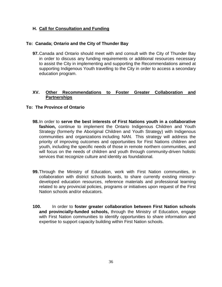## **H. Call for Consultation and Funding**

## **To: Canada; Ontario and the City of Thunder Bay**

**97.**Canada and Ontario should meet with and consult with the City of Thunder Bay in order to discuss any funding requirements or additional resources necessary to assist the City in implementing and supporting the Recommendations aimed at supporting Indigenous Youth travelling to the City in order to access a secondary education program.

## **XV. Other Recommendations to Foster Greater Collaboration and Partnerships**

## **To: The Province of Ontario**

- **98.**In order to **serve the best interests of First Nations youth in a collaborative**  fashion, continue to implement the Ontario Indigenous Children and Youth Strategy (formerly the Aboriginal Children and Youth Strategy) with Indigenous communities and organizations including NAN. This strategy will address the priority of improving outcomes and opportunities for First Nations children and youth, including the specific needs of those in remote northern communities, and will focus on the needs of children and youth through community-driven holistic services that recognize culture and identity as foundational.
- **99.**Through the Ministry of Education, work with First Nation communities, in collaboration with district schools boards, to share currently existing ministrydeveloped education resources, reference materials and professional learning related to any provincial policies, programs or initiatives upon request of the First Nation schools and/or educators.
- **100.** In order to **foster greater collaboration between First Nation schools and provincially-funded schools,** through the Ministry of Education, engage with First Nation communities to identify opportunities to share information and expertise to support capacity building within First Nation schools.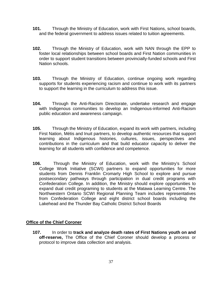- **101.** Through the Ministry of Education, work with First Nations, school boards, and the federal government to address issues related to tuition agreements.
- **102.** Through the Ministry of Education, work with NAN through the EPP to foster local relationships between school boards and First Nation communities in order to support student transitions between provincially-funded schools and First Nation schools.
- **103.** Through the Ministry of Education, continue ongoing work regarding supports for students experiencing racism and continue to work with its partners to support the learning in the curriculum to address this issue.
- **104.** Through the Anti-Racism Directorate, undertake research and engage with Indigenous communities to develop an Indigenous-informed Anti-Racism public education and awareness campaign.
- **105.** Through the Ministry of Education, expand its work with partners, including First Nation, Métis and Inuit partners, to develop authentic resources that support learning about Indigenous histories, cultures, issues, perspectives and contributions in the curriculum and that build educator capacity to deliver the learning for all students with confidence and competence.
- **106.** Through the Ministry of Education, work with the Ministry's School College Work Initiative (SCWI) partners to expand opportunities for more students from Dennis Franklin Cromarty High School to explore and pursue postsecondary pathways through participation in dual credit programs with Confederation College. In addition, the Ministry should explore opportunities to expand dual credit programing to students at the Matawa Learning Centre. The Northwestern Ontario SCWI Regional Planning Team includes representatives from Confederation College and eight district school boards including the Lakehead and the Thunder Bay Catholic District School Boards

## **Office of the Chief Coroner**

**107.** In order to **track and analyze death rates of First Nations youth on and off-reserve,** The Office of the Chief Coroner should develop a process or protocol to improve data collection and analysis.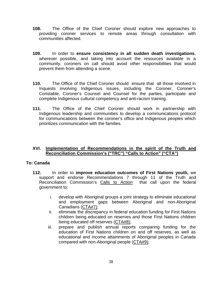- **108.** The Office of the Chief Coroner should explore new approaches to providing coroner services to remote areas through consultation with communities affected.
- **109.** In order to **ensure consistency in all sudden death investigations**, wherever possible, and taking into account the resources available in a community, coroners on call should avoid other responsibilities that would prevent them from attending a scene.
- **110.** The Office of the Chief Coroner should ensure that all those involved in Inquests involving Indigenous issues, including the Coroner, Coroner's Constable, Coroner's Counsel and Counsel for the parties, participate and complete Indigenous cultural competency and anti-racism training.
- **111.** The Office of the Chief Coroner should work in partnership with Indigenous leadership and communities to develop a communications protocol for communications between the coroner's office and Indigenous peoples which prioritizes communication with the families.

## **XVI. Implementation of Recommendations in the spirit of the Truth and Reconciliation Commission's ("TRC") "Calls to Action" ("CTA")**

## **To: Canada**

- **112.** In order to **improve education outcomes of First Nations youth,** we support and endorse Recommendations 7 through 11 of the Truth and Reconciliation Commission's Calls to Action that call upon the federal government to:
	- i. develop with Aboriginal groups a joint strategy to eliminate educational and employment gaps between Aboriginal and non-Aboriginal Canadians (CTA#7);
	- ii. eliminate the discrepancy in federal education funding for First Nations children being educated on reserves and those First Nations children being educated off reserves (CTA#8);
	- iii. prepare and publish annual reports comparing funding for the education of First Nations children on and off reserves, as well as educational and income attainments of Aboriginal peoples in Canada compared with non-Aboriginal people (CTA#9);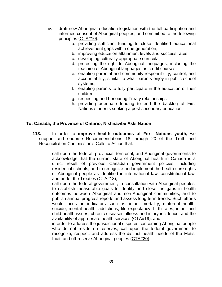- iv. draft new Aboriginal education legislation with the full participation and informed consent of Aboriginal peoples, and committed to the following principles (CTA#10):
	- a. providing sufficient funding to close identified educational achievement gaps within one generation;
	- b. improving education attainment levels and success rates;
	- c. developing culturally appropriate curricula;
	- d. protecting the right to Aboriginal languages, including the teaching of Aboriginal languages as credit courses;
	- e. enabling parental and community responsibility, control, and accountability, similar to what parents enjoy in public school systems;
	- f. enabling parents to fully participate in the education of their children;
	- g. respecting and honouring Treaty relationships;
	- h. providing adequate funding to end the backlog of First Nations students seeking a post-secondary education.

## **To: Canada; the Province of Ontario; Nishnawbe Aski Nation**

- **113.** In order to **improve health outcomes of First Nations youth,** we support and endorse Recommendations 18 through 20 of the Truth and Reconciliation Commission's Calls to Action that:
	- i. call upon the federal, provincial, territorial, and Aboriginal governments to acknowledge that the current state of Aboriginal health in Canada is a direct result of previous Canadian government policies, including residential schools, and to recognize and implement the health-care rights of Aboriginal people as identified in international law, constitutional law, and under the Treaties (CTA#18);
	- ii. call upon the federal government, in consultation with Aboriginal peoples, to establish measurable goals to identify and close the gaps in health outcomes between Aboriginal and non-Aboriginal communities, and to publish annual progress reports and assess long-term trends. Such efforts would focus on indicators such as: infant mortality, maternal health, suicide, mental health, addictions, life expectancy, birth rates, infant and child health issues, chronic diseases, illness and injury incidence, and the availability of appropriate health services (CTA#19); and
	- iii. in order to address the jurisdictional disputes concerning Aboriginal people who do not reside on reserves, call upon the federal government to recognize, respect, and address the distinct health needs of the Métis, Inuit, and off-reserve Aboriginal peoples (CTA#20).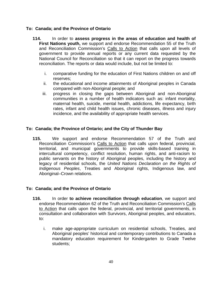## **To: Canada; and the Province of Ontario**

- **114.** In order to **assess progress in the areas of education and health of First Nations youth,** we support and endorse Recommendation 55 of the Truth and Reconciliation Commission's Calls to Action that calls upon all levels of government to provide annual reports or any current data requested by the National Council for Reconciliation so that it can report on the progress towards reconciliation. The reports or data would include, but not be limited to:
	- i. comparative funding for the education of First Nations children on and off reserves;
	- ii. the educational and income attainments of Aboriginal peoples in Canada compared with non-Aboriginal people; and
	- iii. progress in closing the gaps between Aboriginal and non-Aboriginal communities in a number of health indicators such as: infant mortality, maternal health, suicide, mental health, addictions, life expectancy, birth rates, infant and child health issues, chronic diseases, illness and injury incidence, and the availability of appropriate health services.

## **To: Canada; the Province of Ontario; and the City of Thunder Bay**

**115.** We support and endorse Recommendation 57 of the Truth and Reconciliation Commission's Calls to Action that calls upon federal, provincial, territorial, and municipal governments to provide skills-based training in intercultural competency, conflict resolution, human rights, and anti-racism to public servants on the history of Aboriginal peoples, including the history and legacy of residential schools, the *United Nations Declaration on the Rights of Indigenous Peoples*, Treaties and Aboriginal rights, Indigenous law, and Aboriginal–Crown relations.

## **To: Canada; and the Province of Ontario**

- **116.** In order **to achieve reconciliation through education**, we support and endorse Recommendation 62 of the Truth and Reconciliation Commission's Calls to Action that calls upon the federal, provincial, and territorial governments, in consultation and collaboration with Survivors, Aboriginal peoples, and educators, to:
	- i. make age-appropriate curriculum on residential schools, Treaties, and Aboriginal peoples' historical and contemporary contributions to Canada a mandatory education requirement for Kindergarten to Grade Twelve students;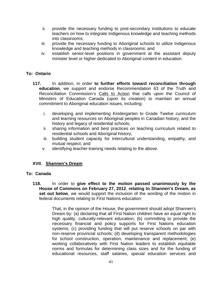- ii. provide the necessary funding to post-secondary institutions to educate teachers on how to integrate Indigenous knowledge and teaching methods into classrooms;
- iii. provide the necessary funding to Aboriginal schools to utilize Indigenous knowledge and teaching methods in classrooms; and
- iv. establish senior-level positions in government at the assistant deputy minister level or higher dedicated to Aboriginal content in education.

## **To: Ontario**

- **117.** In addition, in order **to further efforts toward reconciliation through education**, we support and endorse Recommendation 63 of the Truth and Reconciliation Commission's Calls to Action that calls upon the Council of Ministers of Education Canada (upon its creation) to maintain an annual commitment to Aboriginal education issues, including:
	- i. developing and implementing Kindergarten to Grade Twelve curriculum and learning resources on Aboriginal peoples in Canadian history, and the history and legacy of residential schools;
	- ii. sharing information and best practices on teaching curriculum related to residential schools and Aboriginal history;
	- iii. building student capacity for intercultural understanding, empathy, and mutual respect; and
	- v. identifying teacher-training needs relating to the above.

## **XVII. Shannen's Dream**

## **To: Canada**

**118.** In order to **give effect to the motion passed unanimously by the House of Commons on February 27, 2012**, **relating to Shannen's Dream, as set out below**, we would support the inclusion of the wording of the motion in federal documents relating to First Nations education:

> That, in the opinion of the House, the government should adopt Shannen's Dream by: (a) declaring that all First Nation children have an equal right to high quality, culturally-relevant education; (b) committing to provide the necessary financial and policy supports for First Nations education systems; (c) providing funding that will put reserve schools on par with non-reserve provincial schools; (d) developing transparent methodologies for school construction, operation, maintenance and replacement; (e) working collaboratively with First Nation leaders to establish equitable norms and formulas for determining class sizes and for the funding of educational resources, staff salaries, special education services and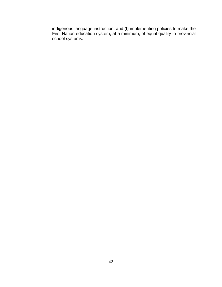indigenous language instruction; and (f) implementing policies to make the First Nation education system, at a minimum, of equal quality to provincial school systems.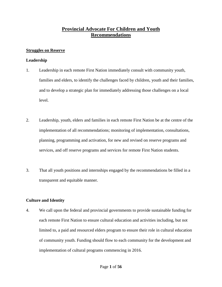# **Provincial Advocate For Children and Youth Recommendations**

## **Struggles on Reserve**

## **Leadership**

- 1. Leadership in each remote First Nation immediately consult with community youth, families and elders, to identify the challenges faced by children, youth and their families, and to develop a strategic plan for immediately addressing those challenges on a local level.
- 2. Leadership, youth, elders and families in each remote First Nation be at the centre of the implementation of all recommendations; monitoring of implementation, consultations, planning, programming and activation, for new and revised on reserve programs and services, and off reserve programs and services for remote First Nation students.
- 3. That all youth positions and internships engaged by the recommendations be filled in a transparent and equitable manner.

## **Culture and Identity**

4. We call upon the federal and provincial governments to provide sustainable funding for each remote First Nation to ensure cultural education and activities including, but not limited to, a paid and resourced elders program to ensure their role in cultural education of community youth. Funding should flow to each community for the development and implementation of cultural programs commencing in 2016.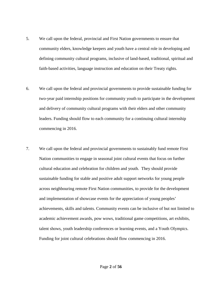- 5. We call upon the federal, provincial and First Nation governments to ensure that community elders, knowledge keepers and youth have a central role in developing and defining community cultural programs, inclusive of land-based, traditional, spiritual and faith-based activities, language instruction and education on their Treaty rights.
- 6. We call upon the federal and provincial governments to provide sustainable funding for two-year paid internship positions for community youth to participate in the development and delivery of community cultural programs with their elders and other community leaders. Funding should flow to each community for a continuing cultural internship commencing in 2016.
- 7. We call upon the federal and provincial governments to sustainably fund remote First Nation communities to engage in seasonal joint cultural events that focus on further cultural education and celebration for children and youth. They should provide sustainable funding for stable and positive adult support networks for young people across neighbouring remote First Nation communities, to provide for the development and implementation of showcase events for the appreciation of young peoples' achievements, skills and talents. Community events can be inclusive of but not limited to academic achievement awards, pow wows, traditional game competitions, art exhibits, talent shows, youth leadership conferences or learning events, and a Youth Olympics. Funding for joint cultural celebrations should flow commencing in 2016.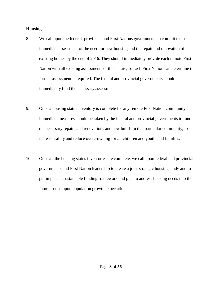### **Housing**

- 8. We call upon the federal, provincial and First Nations governments to commit to an immediate assessment of the need for new housing and the repair and renovation of existing homes by the end of 2016. They should immediately provide each remote First Nation with all existing assessments of this nature, so each First Nation can determine if a further assessment is required. The federal and provincial governments should immediately fund the necessary assessments.
- 9. Once a housing status inventory is complete for any remote First Nation community, immediate measures should be taken by the federal and provincial governments to fund the necessary repairs and renovations and new builds in that particular community, to increase safety and reduce overcrowding for all children and youth, and families.
- 10. Once all the housing status inventories are complete, we call upon federal and provincial governments and First Nation leadership to create a joint strategic housing study and to put in place a sustainable funding framework and plan to address housing needs into the future, based upon population growth expectations.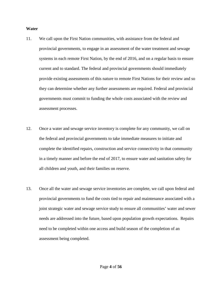#### **Water**

- 11. We call upon the First Nation communities, with assistance from the federal and provincial governments, to engage in an assessment of the water treatment and sewage systems in each remote First Nation, by the end of 2016, and on a regular basis to ensure current and to standard. The federal and provincial governments should immediately provide existing assessments of this nature to remote First Nations for their review and so they can determine whether any further assessments are required. Federal and provincial governments must commit to funding the whole costs associated with the review and assessment processes.
- 12. Once a water and sewage service inventory is complete for any community, we call on the federal and provincial governments to take immediate measures to initiate and complete the identified repairs, construction and service connectivity in that community in a timely manner and before the end of 2017, to ensure water and sanitation safety for all children and youth, and their families on reserve.
- 13. Once all the water and sewage service inventories are complete, we call upon federal and provincial governments to fund the costs tied to repair and maintenance associated with a joint strategic water and sewage service study to ensure all communities' water and sewer needs are addressed into the future, based upon population growth expectations. Repairs need to be completed within one access and build season of the completion of an assessment being completed.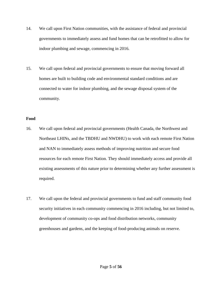- 14. We call upon First Nation communities, with the assistance of federal and provincial governments to immediately assess and fund homes that can be retrofitted to allow for indoor plumbing and sewage, commencing in 2016.
- 15. We call upon federal and provincial governments to ensure that moving forward all homes are built to building code and environmental standard conditions and are connected to water for indoor plumbing, and the sewage disposal system of the community.

### **Food**

- 16. We call upon federal and provincial governments (Health Canada, the Northwest and Northeast LHINs, and the TBDHU and NWDHU) to work with each remote First Nation and NAN to immediately assess methods of improving nutrition and secure food resources for each remote First Nation. They should immediately access and provide all existing assessments of this nature prior to determining whether any further assessment is required.
- 17. We call upon the federal and provincial governments to fund and staff community food security initiatives in each community commencing in 2016 including, but not limited to, development of community co-ops and food distribution networks, community greenhouses and gardens, and the keeping of food-producing animals on reserve.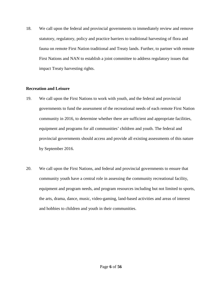18. We call upon the federal and provincial governments to immediately review and remove statutory, regulatory, policy and practice barriers to traditional harvesting of flora and fauna on remote First Nation traditional and Treaty lands. Further, to partner with remote First Nations and NAN to establish a joint committee to address regulatory issues that impact Treaty harvesting rights.

### **Recreation and Leisure**

- 19. We call upon the First Nations to work with youth, and the federal and provincial governments to fund the assessment of the recreational needs of each remote First Nation community in 2016, to determine whether there are sufficient and appropriate facilities, equipment and programs for all communities' children and youth. The federal and provincial governments should access and provide all existing assessments of this nature by September 2016.
- 20. We call upon the First Nations, and federal and provincial governments to ensure that community youth have a central role in assessing the community recreational facility, equipment and program needs, and program resources including but not limited to sports, the arts, drama, dance, music, video-gaming, land-based activities and areas of interest and hobbies to children and youth in their communities.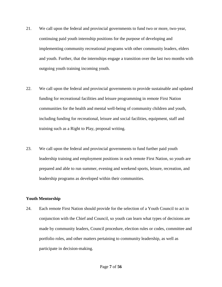- 21. We call upon the federal and provincial governments to fund two or more, two-year, continuing paid youth internship positions for the purpose of developing and implementing community recreational programs with other community leaders, elders and youth. Further, that the internships engage a transition over the last two months with outgoing youth training incoming youth.
- 22. We call upon the federal and provincial governments to provide sustainable and updated funding for recreational facilities and leisure programming in remote First Nation communities for the health and mental well-being of community children and youth, including funding for recreational, leisure and social facilities, equipment, staff and training such as a Right to Play, proposal writing.
- 23. We call upon the federal and provincial governments to fund further paid youth leadership training and employment positions in each remote First Nation, so youth are prepared and able to run summer, evening and weekend sports, leisure, recreation, and leadership programs as developed within their communities.

### **Youth Mentorship**

24. Each remote First Nation should provide for the selection of a Youth Council to act in conjunction with the Chief and Council, so youth can learn what types of decisions are made by community leaders, Council procedure, election rules or codes, committee and portfolio roles, and other matters pertaining to community leadership, as well as participate in decision-making.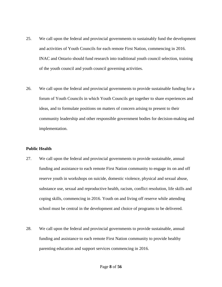- 25. We call upon the federal and provincial governments to sustainably fund the development and activities of Youth Councils for each remote First Nation, commencing in 2016. INAC and Ontario should fund research into traditional youth council selection, training of the youth council and youth council governing activities.
- 26. We call upon the federal and provincial governments to provide sustainable funding for a forum of Youth Councils in which Youth Councils get together to share experiences and ideas, and to formulate positions on matters of concern arising to present to their community leadership and other responsible government bodies for decision-making and implementation.

#### **Public Health**

- 27. We call upon the federal and provincial governments to provide sustainable, annual funding and assistance to each remote First Nation community to engage its on and off reserve youth in workshops on suicide, domestic violence, physical and sexual abuse, substance use, sexual and reproductive health, racism, conflict resolution, life skills and coping skills, commencing in 2016. Youth on and living off reserve while attending school must be central in the development and choice of programs to be delivered.
- 28. We call upon the federal and provincial governments to provide sustainable, annual funding and assistance to each remote First Nation community to provide healthy parenting education and support services commencing in 2016.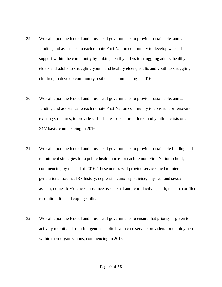- 29. We call upon the federal and provincial governments to provide sustainable, annual funding and assistance to each remote First Nation community to develop webs of support within the community by linking healthy elders to struggling adults, healthy elders and adults to struggling youth, and healthy elders, adults and youth to struggling children, to develop community resilience, commencing in 2016.
- 30. We call upon the federal and provincial governments to provide sustainable, annual funding and assistance to each remote First Nation community to construct or renovate existing structures, to provide staffed safe spaces for children and youth in crisis on a 24/7 basis, commencing in 2016.
- 31. We call upon the federal and provincial governments to provide sustainable funding and recruitment strategies for a public health nurse for each remote First Nation school, commencing by the end of 2016. These nurses will provide services tied to intergenerational trauma, IRS history, depression, anxiety, suicide, physical and sexual assault, domestic violence, substance use, sexual and reproductive health, racism, conflict resolution, life and coping skills.
- 32. We call upon the federal and provincial governments to ensure that priority is given to actively recruit and train Indigenous public health care service providers for employment within their organizations, commencing in 2016.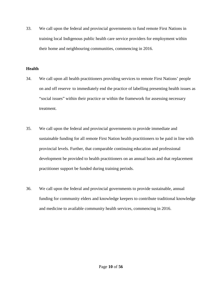33. We call upon the federal and provincial governments to fund remote First Nations in training local Indigenous public health care service providers for employment within their home and neighbouring communities, commencing in 2016.

### **Health**

- 34. We call upon all health practitioners providing services to remote First Nations' people on and off reserve to immediately end the practice of labelling presenting health issues as "social issues" within their practice or within the framework for assessing necessary treatment.
- 35. We call upon the federal and provincial governments to provide immediate and sustainable funding for all remote First Nation health practitioners to be paid in line with provincial levels. Further, that comparable continuing education and professional development be provided to health practitioners on an annual basis and that replacement practitioner support be funded during training periods.
- 36. We call upon the federal and provincial governments to provide sustainable, annual funding for community elders and knowledge keepers to contribute traditional knowledge and medicine to available community health services, commencing in 2016.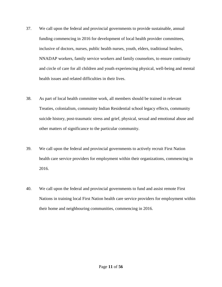- 37. We call upon the federal and provincial governments to provide sustainable, annual funding commencing in 2016 for development of local health provider committees, inclusive of doctors, nurses, public health nurses, youth, elders, traditional healers, NNADAP workers, family service workers and family counselors, to ensure continuity and circle of care for all children and youth experiencing physical, well-being and mental health issues and related difficulties in their lives.
- 38. As part of local health committee work, all members should be trained in relevant Treaties, colonialism, community Indian Residential school legacy effects, community suicide history, post-traumatic stress and grief, physical, sexual and emotional abuse and other matters of significance to the particular community.
- 39. We call upon the federal and provincial governments to actively recruit First Nation health care service providers for employment within their organizations, commencing in 2016.
- 40. We call upon the federal and provincial governments to fund and assist remote First Nations in training local First Nation health care service providers for employment within their home and neighbouring communities, commencing in 2016.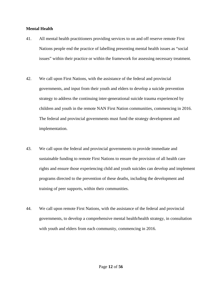### **Mental Health**

- 41. All mental health practitioners providing services to on and off reserve remote First Nations people end the practice of labelling presenting mental health issues as "social issues" within their practice or within the framework for assessing necessary treatment.
- 42. We call upon First Nations, with the assistance of the federal and provincial governments, and input from their youth and elders to develop a suicide prevention strategy to address the continuing inter-generational suicide trauma experienced by children and youth in the remote NAN First Nation communities, commencing in 2016. The federal and provincial governments must fund the strategy development and implementation.
- 43. We call upon the federal and provincial governments to provide immediate and sustainable funding to remote First Nations to ensure the provision of all health care rights and ensure those experiencing child and youth suicides can develop and implement programs directed to the prevention of these deaths, including the development and training of peer supports, within their communities.
- 44. We call upon remote First Nations, with the assistance of the federal and provincial governments, to develop a comprehensive mental health/health strategy, in consultation with youth and elders from each community, commencing in 2016.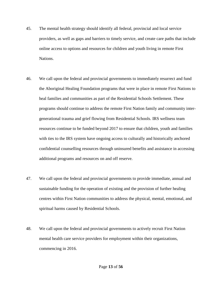- 45. The mental health strategy should identify all federal, provincial and local service providers, as well as gaps and barriers to timely service, and create care paths that include online access to options and resources for children and youth living in remote First Nations.
- 46. We call upon the federal and provincial governments to immediately resurrect and fund the Aboriginal Healing Foundation programs that were in place in remote First Nations to heal families and communities as part of the Residential Schools Settlement. These programs should continue to address the remote First Nation family and community intergenerational trauma and grief flowing from Residential Schools. IRS wellness team resources continue to be funded beyond 2017 to ensure that children, youth and families with ties to the IRS system have ongoing access to culturally and historically anchored confidential counselling resources through uninsured benefits and assistance in accessing additional programs and resources on and off reserve.
- 47. We call upon the federal and provincial governments to provide immediate, annual and sustainable funding for the operation of existing and the provision of further healing centres within First Nation communities to address the physical, mental, emotional, and spiritual harms caused by Residential Schools.
- 48. We call upon the federal and provincial governments to actively recruit First Nation mental health care service providers for employment within their organizations, commencing in 2016.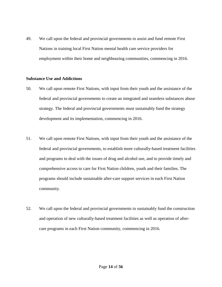49. We call upon the federal and provincial governments to assist and fund remote First Nations in training local First Nation mental health care service providers for employment within their home and neighbouring communities, commencing in 2016.

#### **Substance Use and Addictions**

- 50. We call upon remote First Nations, with input from their youth and the assistance of the federal and provincial governments to create an integrated and seamless substances abuse strategy. The federal and provincial governments must sustainably fund the strategy development and its implementation, commencing in 2016.
- 51. We call upon remote First Nations, with input from their youth and the assistance of the federal and provincial governments, to establish more culturally-based treatment facilities and programs to deal with the issues of drug and alcohol use, and to provide timely and comprehensive access to care for First Nation children, youth and their families. The programs should include sustainable after-care support services in each First Nation community.
- 52. We call upon the federal and provincial governments to sustainably fund the construction and operation of new culturally-based treatment facilities as well as operation of aftercare programs in each First Nation community, commencing in 2016.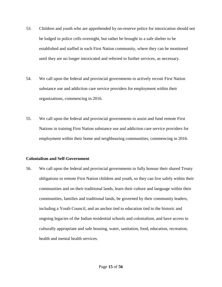- 53. Children and youth who are apprehended by on-reserve police for intoxication should not be lodged in police cells overnight, but rather be brought to a safe shelter to be established and staffed in each First Nation community, where they can be monitored until they are no longer intoxicated and referred to further services, as necessary.
- 54. We call upon the federal and provincial governments to actively recruit First Nation substance use and addiction care service providers for employment within their organizations, commencing in 2016.
- 55. We call upon the federal and provincial governments to assist and fund remote First Nations in training First Nation substance use and addiction care service providers for employment within their home and neighbouring communities, commencing in 2016.

### **Colonialism and Self-Government**

56. We call upon the federal and provincial governments to fully honour their shared Treaty obligations to remote First Nation children and youth, so they can live safely within their communities and on their traditional lands, learn their culture and language within their communities, families and traditional lands, be governed by their community leaders, including a Youth Council, and an anchor tied to education tied to the historic and ongoing legacies of the Indian residential schools and colonialism, and have access to culturally appropriate and safe housing, water, sanitation, food, education, recreation, health and mental health services.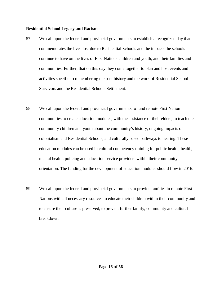### **Residential School Legacy and Racism**

- 57. We call upon the federal and provincial governments to establish a recognized day that commemorates the lives lost due to Residential Schools and the impacts the schools continue to have on the lives of First Nations children and youth, and their families and communities. Further, that on this day they come together to plan and host events and activities specific to remembering the past history and the work of Residential School Survivors and the Residential Schools Settlement.
- 58. We call upon the federal and provincial governments to fund remote First Nation communities to create education modules, with the assistance of their elders, to teach the community children and youth about the community's history, ongoing impacts of colonialism and Residential Schools, and culturally based pathways to healing. These education modules can be used in cultural competency training for public health, health, mental health, policing and education service providers within their community orientation. The funding for the development of education modules should flow in 2016.
- 59. We call upon the federal and provincial governments to provide families in remote First Nations with all necessary resources to educate their children within their community and to ensure their culture is preserved, to prevent further family, community and cultural breakdown.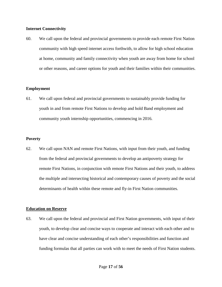### **Internet Connectivity**

60. We call upon the federal and provincial governments to provide each remote First Nation community with high speed internet access forthwith, to allow for high school education at home, community and family connectivity when youth are away from home for school or other reasons, and career options for youth and their families within their communities.

### **Employment**

61. We call upon federal and provincial governments to sustainably provide funding for youth in and from remote First Nations to develop and hold Band employment and community youth internship opportunities, commencing in 2016.

#### **Poverty**

62. We call upon NAN and remote First Nations, with input from their youth, and funding from the federal and provincial governments to develop an antipoverty strategy for remote First Nations, in conjunction with remote First Nations and their youth, to address the multiple and intersecting historical and contemporary causes of poverty and the social determinants of health within these remote and fly-in First Nation communities.

#### **Education on Reserve**

63. We call upon the federal and provincial and First Nation governments, with input of their youth, to develop clear and concise ways to cooperate and interact with each other and to have clear and concise understanding of each other's responsibilities and function and funding formulas that all parties can work with to meet the needs of First Nation students.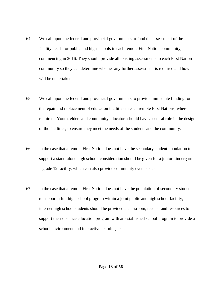- 64. We call upon the federal and provincial governments to fund the assessment of the facility needs for public and high schools in each remote First Nation community, commencing in 2016. They should provide all existing assessments to each First Nation community so they can determine whether any further assessment is required and how it will be undertaken.
- 65. We call upon the federal and provincial governments to provide immediate funding for the repair and replacement of education facilities in each remote First Nations, where required. Youth, elders and community educators should have a central role in the design of the facilities, to ensure they meet the needs of the students and the community.
- 66. In the case that a remote First Nation does not have the secondary student population to support a stand-alone high school, consideration should be given for a junior kindergarten – grade 12 facility, which can also provide community event space.
- 67. In the case that a remote First Nation does not have the population of secondary students to support a full high school program within a joint public and high school facility, internet high school students should be provided a classroom, teacher and resources to support their distance education program with an established school program to provide a school environment and interactive learning space.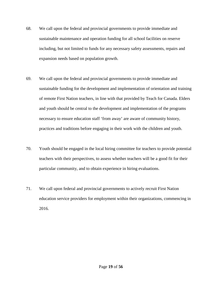- 68. We call upon the federal and provincial governments to provide immediate and sustainable maintenance and operation funding for all school facilities on reserve including, but not limited to funds for any necessary safety assessments, repairs and expansion needs based on population growth.
- 69. We call upon the federal and provincial governments to provide immediate and sustainable funding for the development and implementation of orientation and training of remote First Nation teachers, in line with that provided by Teach for Canada. Elders and youth should be central to the development and implementation of the programs necessary to ensure education staff 'from away' are aware of community history, practices and traditions before engaging in their work with the children and youth.
- 70. Youth should be engaged in the local hiring committee for teachers to provide potential teachers with their perspectives, to assess whether teachers will be a good fit for their particular community, and to obtain experience in hiring evaluations.
- 71. We call upon federal and provincial governments to actively recruit First Nation education service providers for employment within their organizations, commencing in 2016.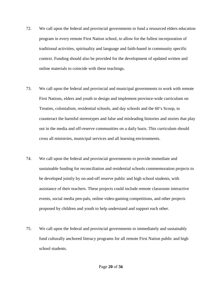- 72. We call upon the federal and provincial governments to fund a resourced elders education program in every remote First Nation school, to allow for the fullest incorporation of traditional activities, spirituality and language and faith-based in community specific context. Funding should also be provided for the development of updated written and online materials to coincide with these teachings.
- 73. We call upon the federal and provincial and municipal governments to work with remote First Nations, elders and youth to design and implement province-wide curriculum on Treaties, colonialism, residential schools, and day schools and the 60's Scoop, to counteract the harmful stereotypes and false and misleading histories and stories that play out in the media and off-reserve communities on a daily basis. This curriculum should cross all ministries, municipal services and all learning environments.
- 74. We call upon the federal and provincial governments to provide immediate and sustainable funding for reconciliation and residential schools commemoration projects to be developed jointly by on-and-off reserve public and high school students, with assistance of their teachers. These projects could include remote classroom interactive events, social media pen-pals, online video-gaming competitions, and other projects proposed by children and youth to help understand and support each other.
- 75. We call upon the federal and provincial governments to immediately and sustainably fund culturally anchored literacy programs for all remote First Nation public and high school students.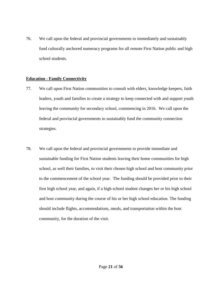76. We call upon the federal and provincial governments to immediately and sustainably fund culturally anchored numeracy programs for all remote First Nation public and high school students.

### **Education - Family Connectivity**

- 77. We call upon First Nation communities to consult with elders, knowledge keepers, faith leaders, youth and families to create a strategy to keep connected with and support youth leaving the community for secondary school, commencing in 2016. We call upon the federal and provincial governments to sustainably fund the community connection strategies.
- 78. We call upon the federal and provincial governments to provide immediate and sustainable funding for First Nation students leaving their home communities for high school, as well their families, to visit their chosen high school and host community prior to the commencement of the school year. The funding should be provided prior to their first high school year, and again, if a high school student changes her or his high school and host community during the course of his or her high school education. The funding should include flights, accommodations, meals, and transportation within the host community, for the duration of the visit.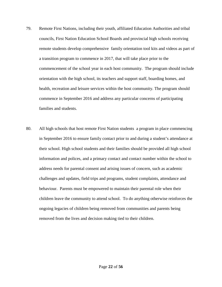- 79. Remote First Nations, including their youth, affiliated Education Authorities and tribal councils, First Nation Education School Boards and provincial high schools receiving remote students develop comprehensive family orientation tool kits and videos as part of a transition program to commence in 2017, that will take place prior to the commencement of the school year in each host community. The program should include orientation with the high school, its teachers and support staff, boarding homes, and health, recreation and leisure services within the host community. The program should commence in September 2016 and address any particular concerns of participating families and students.
- 80. All high schools that host remote First Nation students a program in place commencing in September 2016 to ensure family contact prior to and during a student's attendance at their school. High school students and their families should be provided all high school information and polices, and a primary contact and contact number within the school to address needs for parental consent and arising issues of concern, such as academic challenges and updates, field trips and programs, student complaints, attendance and behaviour. Parents must be empowered to maintain their parental role when their children leave the community to attend school. To do anything otherwise reinforces the ongoing legacies of children being removed from communities and parents being removed from the lives and decision making tied to their children.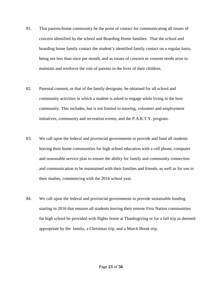- 81. That parents/home community be the point of contact for communicating all issues of concern identified by the school and Boarding Home families. That the school and boarding home family contact the student's identified family contact on a regular basis, being not less than once per month, and as issues of concern or consent needs arise to maintain and reinforce the role of parents in the lives of their children.
- 82. Parental consent, or that of the family designate, be obtained for all school and community activities in which a student is asked to engage while living in the host community. This includes, but is not limited to tutoring, volunteer and employment initiatives, community and recreation events, and the P.A.R.T.Y. program.
- 83. We call upon the federal and provincial governments to provide and fund all students leaving their home communities for high school education with a cell phone, computer and reasonable service plan to ensure the ability for family and community connection and communication to be maintained with their families and friends, as well as for use in their studies, commencing with the 2016 school year.
- 84. We call upon the federal and provincial governments to provide sustainable funding starting in 2016 that ensures all students leaving their remote First Nation communities for high school be provided with flights home at Thanksgiving or for a fall trip as deemed appropriate by the family, a Christmas trip, and a March Break trip.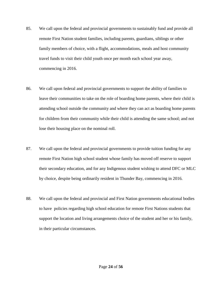- 85. We call upon the federal and provincial governments to sustainably fund and provide all remote First Nation student families, including parents, guardians, siblings or other family members of choice, with a flight, accommodations, meals and host community travel funds to visit their child youth once per month each school year away, commencing in 2016.
- 86. We call upon federal and provincial governments to support the ability of families to leave their communities to take on the role of boarding home parents, where their child is attending school outside the community and where they can act as boarding home parents for children from their community while their child is attending the same school; and not lose their housing place on the nominal roll.
- 87. We call upon the federal and provincial governments to provide tuition funding for any remote First Nation high school student whose family has moved off reserve to support their secondary education, and for any Indigenous student wishing to attend DFC or MLC by choice, despite being ordinarily resident in Thunder Bay, commencing in 2016.
- 88. We call upon the federal and provincial and First Nation governments educational bodies to have policies regarding high school education for remote First Nations students that support the location and living arrangements choice of the student and her or his family, in their particular circumstances.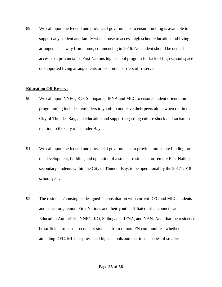89. We call upon the federal and provincial governments to ensure funding is available to support any student and family who choose to access high school education and living arrangements away from home, commencing in 2016. No student should be denied access to a provincial or First Nations high school program for lack of high school space or supported living arrangements or economic barriers off reserve.

### **Education Off Reserve**

- 90. We call upon NNEC, KO, Shibogama, IFNA and MLC to ensure student orientation programming includes reminders to youth to not leave their peers alone when out in the City of Thunder Bay, and education and support regarding culture shock and racism in relation to the City of Thunder Bay.
- 91. We call upon the federal and provincial governments to provide immediate funding for the development, building and operation of a student residence for remote First Nation secondary students within the City of Thunder Bay, to be operational by the 2017-2018 school year.
- 92. The residence/housing be designed in consultation with current DFC and MLC students and educators, remote First Nations and their youth, affiliated tribal councils and Education Authorities, NNEC, KO, Shibogama, IFNA, and NAN. And, that the residence be sufficient to house secondary students from remote FN communities, whether attending DFC, MLC or provincial high schools and that it be a series of smaller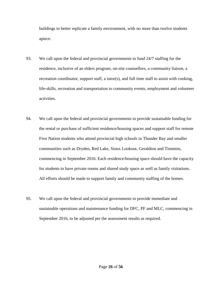buildings to better replicate a family environment, with no more than twelve students apiece.

- 93. We call upon the federal and provincial governments to fund 24/7 staffing for the residence, inclusive of an elders program, on-site counsellors, a community liaison, a recreation coordinator, support staff, a tutor(s), and full time staff to assist with cooking, life-skills, recreation and transportation to community events, employment and volunteer activities.
- 94. We call upon the federal and provincial governments to provide sustainable funding for the rental or purchase of sufficient residence/housing spaces and support staff for remote First Nation students who attend provincial high schools in Thunder Bay and smaller communities such as Dryden, Red Lake, Sioux Lookout, Geraldton and Timmins, commencing in September 2016. Each residence/housing space should have the capacity for students to have private rooms and shared study space as well as family visitations. All efforts should be made to support family and community staffing of the homes.
- 95. We call upon the federal and provincial governments to provide immediate and sustainable operations and maintenance funding for DFC, PF and MLC, commencing in September 2016, to be adjusted per the assessment results as required.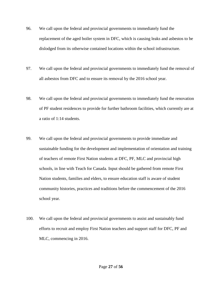- 96. We call upon the federal and provincial governments to immediately fund the replacement of the aged boiler system in DFC, which is causing leaks and asbestos to be dislodged from its otherwise contained locations within the school infrastructure.
- 97. We call upon the federal and provincial governments to immediately fund the removal of all asbestos from DFC and to ensure its removal by the 2016 school year.
- 98. We call upon the federal and provincial governments to immediately fund the renovation of PF student residences to provide for further bathroom facilities, which currently are at a ratio of 1:14 students.
- 99. We call upon the federal and provincial governments to provide immediate and sustainable funding for the development and implementation of orientation and training of teachers of remote First Nation students at DFC, PF, MLC and provincial high schools, in line with Teach for Canada. Input should be gathered from remote First Nation students, families and elders, to ensure education staff is aware of student community histories, practices and traditions before the commencement of the 2016 school year.
- 100. We call upon the federal and provincial governments to assist and sustainably fund efforts to recruit and employ First Nation teachers and support staff for DFC, PF and MLC, commencing in 2016.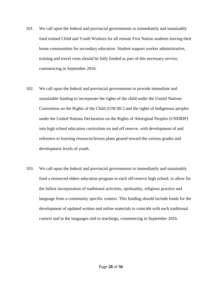- 101. We call upon the federal and provincial governments to immediately and sustainably fund trained Child and Youth Workers for all remote First Nation students leaving their home communities for secondary education. Student support worker administrative, training and travel costs should be fully funded as part of this necessary service, commencing in September 2016.
- 102. We call upon the federal and provincial governments to provide immediate and sustainable funding to incorporate the rights of the child under the United Nations Convention on the Rights of the Child (UNCRC) and the rights of Indigenous peoples under the United Nations Declaration on the Rights of Aboriginal Peoples (UNDRIP) into high school education curriculum on and off reserve, with development of and reference to learning resources/lesson plans geared toward the various grades and development levels of youth.
- 103. We call upon the federal and provincial governments to immediately and sustainably fund a resourced elders education program in each off-reserve high school, to allow for the fullest incorporation of traditional activities, spirituality, religious practice and language from a community specific context. This funding should include funds for the development of updated written and online materials to coincide with each traditional context and in the languages tied to teachings, commencing in September 2016.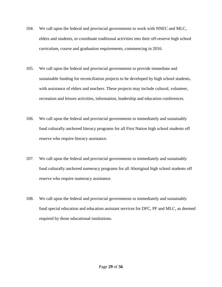- 104. We call upon the federal and provincial governments to work with NNEC and MLC, elders and students, to coordinate traditional activities into their off-reserve high school curriculum, course and graduation requirements, commencing in 2016.
- 105. We call upon the federal and provincial governments to provide immediate and sustainable funding for reconciliation projects to be developed by high school students, with assistance of elders and teachers. These projects may include cultural, volunteer, recreation and leisure activities, information, leadership and education conferences.
- 106. We call upon the federal and provincial governments to immediately and sustainably fund culturally anchored literacy programs for all First Nation high school students off reserve who require literacy assistance.
- 107. We call upon the federal and provincial governments to immediately and sustainably fund culturally anchored numeracy programs for all Aboriginal high school students off reserve who require numeracy assistance.
- 108. We call upon the federal and provincial governments to immediately and sustainably fund special education and education assistant services for DFC, PF and MLC, as deemed required by those educational institutions.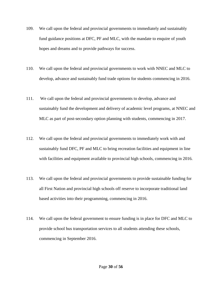- 109. We call upon the federal and provincial governments to immediately and sustainably fund guidance positions at DFC, PF and MLC, with the mandate to enquire of youth hopes and dreams and to provide pathways for success.
- 110. We call upon the federal and provincial governments to work with NNEC and MLC to develop, advance and sustainably fund trade options for students commencing in 2016.
- 111. We call upon the federal and provincial governments to develop, advance and sustainably fund the development and delivery of academic level programs, at NNEC and MLC as part of post-secondary option planning with students, commencing in 2017.
- 112. We call upon the federal and provincial governments to immediately work with and sustainably fund DFC, PF and MLC to bring recreation facilities and equipment in line with facilities and equipment available to provincial high schools, commencing in 2016.
- 113. We call upon the federal and provincial governments to provide sustainable funding for all First Nation and provincial high schools off reserve to incorporate traditional land based activities into their programming, commencing in 2016.
- 114. We call upon the federal government to ensure funding is in place for DFC and MLC to provide school bus transportation services to all students attending these schools, commencing in September 2016.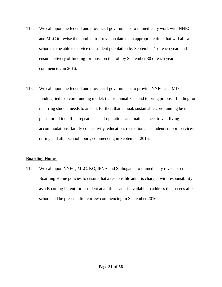- 115. We call upon the federal and provincial governments to immediately work with NNEC and MLC to revise the nominal roll revision date to an appropriate time that will allow schools to be able to service the student population by September 1 of each year, and ensure delivery of funding for those on the roll by September 30 of each year, commencing in 2016.
- 116. We call upon the federal and provincial governments to provide NNEC and MLC funding tied to a core funding model, that is annualized, and to bring proposal funding for recurring student needs to an end. Further, that annual, sustainable core funding be in place for all identified repeat needs of operations and maintenance, travel, living accommodations, family connectivity, education, recreation and student support services during and after school hours, commencing in September 2016.

#### **Boarding Homes**

117. We call upon NNEC, MLC, KO, IFNA and Shibogama to immediately revise or create Boarding Home policies to ensure that a responsible adult is charged with responsibility as a Boarding Parent for a student at all times and is available to address their needs after school and be present after curfew commencing in September 2016.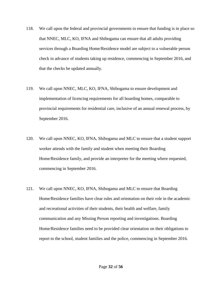- 118. We call upon the federal and provincial governments to ensure that funding is in place so that NNEC, MLC, KO, IFNA and Shibogama can ensure that all adults providing services through a Boarding Home/Residence model are subject to a vulnerable person check in advance of students taking up residence, commencing in September 2016, and that the checks be updated annually.
- 119. We call upon NNEC, MLC, KO, IFNA, Shibogama to ensure development and implementation of licencing requirements for all boarding homes, comparable to provincial requirements for residential care, inclusive of an annual renewal process, by September 2016.
- 120. We call upon NNEC, KO, IFNA, Shibogama and MLC to ensure that a student support worker attends with the family and student when meeting their Boarding Home/Residence family, and provide an interpreter for the meeting where requested, commencing in September 2016.
- 121. We call upon NNEC, KO, IFNA, Shibogama and MLC to ensure that Boarding Home/Residence families have clear rules and orientation on their role in the academic and recreational activities of their students, their health and welfare, family communication and any Missing Person reporting and investigations. Boarding Home/Residence families need to be provided clear orientation on their obligations to report to the school, student families and the police, commencing in September 2016.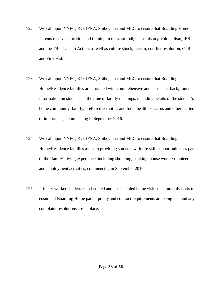- 122. We call upon NNEC, KO, IFNA, Shibogama and MLC to ensure that Boarding Home Parents receive education and training in relevant Indigenous history, colonialism, IRS and the TRC Calls to Action, as well as culture shock, racism, conflict resolution, CPR and First Aid.
- 123. We call upon NNEC, KO, IFNA, Shibogama and MLC to ensure that Boarding Home/Residence families are provided with comprehensive and consistent background information on students, at the time of family meetings, including details of the student's home community, family, preferred activities and food, health concerns and other matters of importance, commencing in September 2016.
- 124. We call upon NNEC, KO, IFNA, Shibogama and MLC to ensure that Boarding Home/Residence families assist in providing students with life skills opportunities as part of the 'family' living experience, including shopping, cooking, house work, volunteer and employment activities, commencing in September 2016.
- 125. Primary workers undertake scheduled and unscheduled home visits on a monthly basis to ensure all Boarding Home parent policy and contract requirements are being met and any complaint resolutions are in place.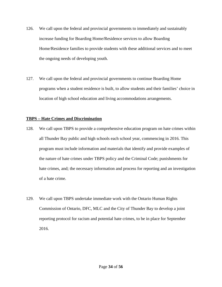- 126. We call upon the federal and provincial governments to immediately and sustainably increase funding for Boarding Home/Residence services to allow Boarding Home/Residence families to provide students with these additional services and to meet the ongoing needs of developing youth.
- 127. We call upon the federal and provincial governments to continue Boarding Home programs when a student residence is built, to allow students and their families' choice in location of high school education and living accommodations arrangements.

#### **TBPS – Hate Crimes and Discrimination**

- 128. We call upon TBPS to provide a comprehensive education program on hate crimes within all Thunder Bay public and high schools each school year, commencing in 2016. This program must include information and materials that identify and provide examples of the nature of hate crimes under TBPS policy and the Criminal Code; punishments for hate crimes, and; the necessary information and process for reporting and an investigation of a hate crime.
- 129. We call upon TBPS undertake immediate work with the Ontario Human Rights Commission of Ontario, DFC, MLC and the City of Thunder Bay to develop a joint reporting protocol for racism and potential hate crimes, to be in place for September 2016.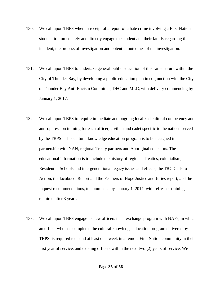- 130. We call upon TBPS when in receipt of a report of a hate crime involving a First Nation student, to immediately and directly engage the student and their family regarding the incident, the process of investigation and potential outcomes of the investigation.
- 131. We call upon TBPS to undertake general public education of this same nature within the City of Thunder Bay, by developing a public education plan in conjunction with the City of Thunder Bay Anti-Racism Committee, DFC and MLC, with delivery commencing by January 1, 2017.
- 132. We call upon TBPS to require immediate and ongoing localized cultural competency and anti-oppression training for each officer, civilian and cadet specific to the nations served by the TBPS. This cultural knowledge education program is to be designed in partnership with NAN, regional Treaty partners and Aboriginal educators. The educational information is to include the history of regional Treaties, colonialism, Residential Schools and intergenerational legacy issues and effects, the TRC Calls to Action, the Iacobucci Report and the Feathers of Hope Justice and Juries report, and the Inquest recommendations, to commence by January 1, 2017, with refresher training required after 3 years.
- 133. We call upon TBPS engage its new officers in an exchange program with NAPs, in which an officer who has completed the cultural knowledge education program delivered by TBPS is required to spend at least one week in a remote First Nation community in their first year of service, and existing officers within the next two (2) years of service. We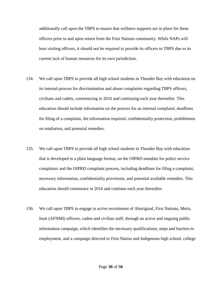additionally call upon the TBPS to ensure that wellness supports are in place for these officers prior to and upon return from the First Nations community. While NAPs will host visiting officers, it should not be required to provide its officers to TBPS due to its current lack of human resources for its own jurisdiction.

- 134. We call upon TBPS to provide all high school students in Thunder Bay with education on its internal process for discrimination and abuse complaints regarding TBPS officers, civilians and cadets, commencing in 2016 and continuing each year thereafter. This education should include information on the process for an internal complaint; deadlines for filing of a complaint, the information required, confidentiality protection, prohibitions on retaliation, and potential remedies.
- 135. We call upon TBPS to provide all high school students in Thunder Bay with education that is developed in a plain language format, on the OIPRD mandate for police service complaints and the OIPRD complaint process, including deadlines for filing a complaint, necessary information, confidentiality provisions, and potential available remedies. This education should commence in 2016 and continue each year thereafter.
- 136. We call upon TBPS to engage in active recruitment of Aboriginal, First Nations, Metis, Inuit (AFNMI) officers, cadets and civilian staff, through an active and ongoing public information campaign, which identifies the necessary qualifications, steps and barriers to employment, and a campaign directed to First Nation and Indigenous high school, college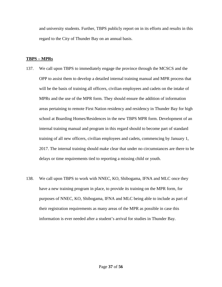and university students. Further, TBPS publicly report on in its efforts and results in this regard to the City of Thunder Bay on an annual basis.

#### **TBPS – MPRs**

- 137. We call upon TBPS to immediately engage the province through the MCSCS and the OPP to assist them to develop a detailed internal training manual and MPR process that will be the basis of training all officers, civilian employees and cadets on the intake of MPRs and the use of the MPR form. They should ensure the addition of information areas pertaining to remote First Nation residency and residency in Thunder Bay for high school at Boarding Homes/Residences in the new TBPS MPR form. Development of an internal training manual and program in this regard should to become part of standard training of all new officers, civilian employees and cadets, commencing by January 1, 2017. The internal training should make clear that under no circumstances are there to be delays or time requirements tied to reporting a missing child or youth.
- 138. We call upon TBPS to work with NNEC, KO, Shibogama, IFNA and MLC once they have a new training program in place, to provide its training on the MPR form, for purposes of NNEC, KO, Shibogama, IFNA and MLC being able to include as part of their registration requirements as many areas of the MPR as possible in case this information is ever needed after a student's arrival for studies in Thunder Bay.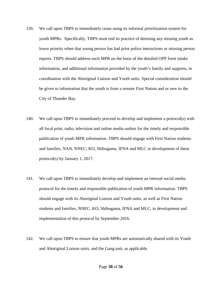- 139. We call upon TBPS to immediately cease using its informal prioritization system for youth MPRs. Specifically, TBPS must end its practice of deeming any missing youth as lower priority when that young person has had prior police interactions or missing person reports. TBPS should address each MPR on the basis of the detailed OPP form intake information, and additional information provided by the youth's family and supports, in coordination with the Aboriginal Liaison and Youth units. Special consideration should be given to information that the youth is from a remote First Nation and or new to the City of Thunder Bay.
- 140. We call upon TBPS to immediately proceed to develop and implement a protocol(s) with all local print, radio, television and online media outlets for the timely and responsible publication of youth MPR information. TBPS should engage with First Nation students and families, NAN, NNEC, KO, Shibogama, IFNA and MLC in development of these protocol(s) by January 1, 2017.
- 141. We call upon TBPS to immediately develop and implement an internal social media protocol for the timely and responsible publication of youth MPR information. TBPS should engage with its Aboriginal Liaison and Youth units, as well as First Nation students and families, NNEC, KO, Shibogama, IFNA and MLC, in development and implementation of this protocol by September 2016.
- 142. We call upon TBPS to ensure that youth MPRs are automatically shared with its Youth and Aboriginal Liaison units, and the Gang unit, as applicable.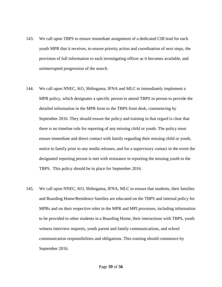- 143. We call upon TBPS to ensure immediate assignment of a dedicated CIB lead for each youth MPR that it receives, to ensure priority action and coordination of next steps, the provision of full information to each investigating officer as it becomes available, and uninterrupted progression of the search.
- 144. We call upon NNEC, KO, Shibogama, IFNA and MLC to immediately implement a MPR policy, which designates a specific person to attend TBPS in person to provide the detailed information in the MPR form to the TBPS front desk, commencing by September 2016. They should ensure the policy and training in that regard is clear that there is no timeline rule for reporting of any missing child or youth. The policy must ensure immediate and direct contact with family regarding their missing child or youth, notice to family prior to any media releases, and for a supervisory contact in the event the designated reporting person is met with resistance in reporting the missing youth to the TBPS. This policy should be in place for September 2016.
- 145. We call upon NNEC, KO, Shibogama, IFNA, MLC to ensure that students, their families and Boarding Home/Residence families are educated on the TBPS and internal policy for MPRs and on their respective roles in the MPR and MPI processes, including information to be provided to other students in a Boarding Home, their interactions with TBPS, youth witness interview requests, youth parent and family communications, and school communication responsibilities and obligations. This training should commence by September 2016.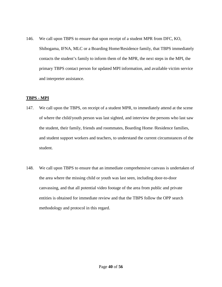146. We call upon TBPS to ensure that upon receipt of a student MPR from DFC, KO, Shibogama, IFNA, MLC or a Boarding Home/Residence family, that TBPS immediately contacts the student's family to inform them of the MPR, the next steps in the MPI, the primary TBPS contact person for updated MPI information, and available victim service and interpreter assistance.

#### **TBPS - MPI**

- 147. We call upon the TBPS, on receipt of a student MPR, to immediately attend at the scene of where the child/youth person was last sighted, and interview the persons who last saw the student, their family, friends and roommates, Boarding Home /Residence families, and student support workers and teachers, to understand the current circumstances of the student.
- 148. We call upon TBPS to ensure that an immediate comprehensive canvass is undertaken of the area where the missing child or youth was last seen, including door-to-door canvassing, and that all potential video footage of the area from public and private entities is obtained for immediate review and that the TBPS follow the OPP search methodology and protocol in this regard.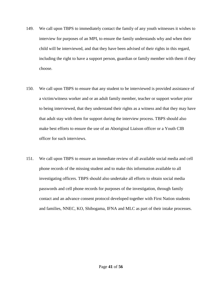- 149. We call upon TBPS to immediately contact the family of any youth witnesses it wishes to interview for purposes of an MPI, to ensure the family understands why and when their child will be interviewed, and that they have been advised of their rights in this regard, including the right to have a support person, guardian or family member with them if they choose.
- 150. We call upon TBPS to ensure that any student to be interviewed is provided assistance of a victim/witness worker and or an adult family member, teacher or support worker prior to being interviewed, that they understand their rights as a witness and that they may have that adult stay with them for support during the interview process. TBPS should also make best efforts to ensure the use of an Aboriginal Liaison officer or a Youth CIB officer for such interviews.
- 151. We call upon TBPS to ensure an immediate review of all available social media and cell phone records of the missing student and to make this information available to all investigating officers. TBPS should also undertake all efforts to obtain social media passwords and cell phone records for purposes of the investigation, through family contact and an advance consent protocol developed together with First Nation students and families, NNEC, KO, Shibogama, IFNA and MLC as part of their intake processes.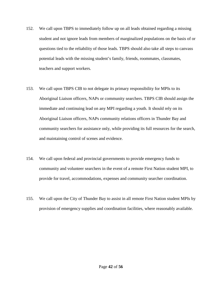- 152. We call upon TBPS to immediately follow up on all leads obtained regarding a missing student and not ignore leads from members of marginalized populations on the basis of or questions tied to the reliability of those leads. TBPS should also take all steps to canvass potential leads with the missing student's family, friends, roommates, classmates, teachers and support workers.
- 153. We call upon TBPS CIB to not delegate its primary responsibility for MPIs to its Aboriginal Liaison officers, NAPs or community searchers. TBPS CIB should assign the immediate and continuing lead on any MPI regarding a youth. It should rely on its Aboriginal Liaison officers, NAPs community relations officers in Thunder Bay and community searchers for assistance only, while providing its full resources for the search, and maintaining control of scenes and evidence.
- 154. We call upon federal and provincial governments to provide emergency funds to community and volunteer searchers in the event of a remote First Nation student MPI, to provide for travel, accommodations, expenses and community searcher coordination.
- 155. We call upon the City of Thunder Bay to assist in all remote First Nation student MPIs by provision of emergency supplies and coordination facilities, where reasonably available.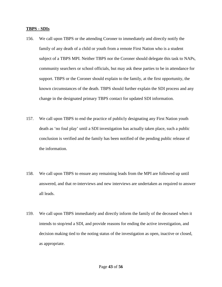#### **TBPS - SDIs**

- 156. We call upon TBPS or the attending Coroner to immediately and directly notify the family of any death of a child or youth from a remote First Nation who is a student subject of a TBPS MPI. Neither TBPS nor the Coroner should delegate this task to NAPs, community searchers or school officials, but may ask these parties to be in attendance for support. TBPS or the Coroner should explain to the family, at the first opportunity, the known circumstances of the death. TBPS should further explain the SDI process and any change in the designated primary TBPS contact for updated SDI information.
- 157. We call upon TBPS to end the practice of publicly designating any First Nation youth death as 'no foul play' until a SDI investigation has actually taken place, such a public conclusion is verified and the family has been notified of the pending public release of the information.
- 158. We call upon TBPS to ensure any remaining leads from the MPI are followed up until answered, and that re-interviews and new interviews are undertaken as required to answer all leads.
- 159. We call upon TBPS immediately and directly inform the family of the deceased when it intends to stop/end a SDI, and provide reasons for ending the active investigation, and decision making tied to the noting status of the investigation as open, inactive or closed, as appropriate.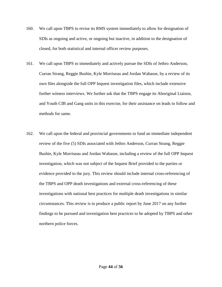- 160. We call upon TBPS to revise its RMS system immediately to allow for designation of SDIs as ongoing and active, or ongoing but inactive, in addition to the designation of closed, for both statistical and internal officer review purposes.
- 161. We call upon TBPS to immediately and actively pursue the SDIs of Jethro Anderson, Curran Strang, Reggie Bushie, Kyle Morriseau and Jordan Wabasse, by a review of its own files alongside the full OPP Inquest investigation files, which include extensive further witness interviews. We further ask that the TBPS engage its Aboriginal Liaison, and Youth CIB and Gang units in this exercise, for their assistance on leads to follow and methods for same.
- 162. We call upon the federal and provincial governments to fund an immediate independent review of the five (5) SDIs associated with Jethro Anderson, Curran Strang, Reggie Bushie, Kyle Morriseau and Jordan Wabasse, including a review of the full OPP Inquest investigation, which was not subject of the Inquest Brief provided to the parties or evidence provided to the jury. This review should include internal cross-referencing of the TBPS and OPP death investigations and external cross-referencing of these investigations with national best practices for multiple death investigations in similar circumstances. This review is to produce a public report by June 2017 on any further findings to be pursued and investigation best practices to be adopted by TBPS and other northern police forces.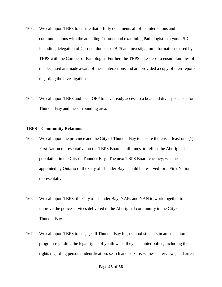- 163. We call upon TBPS to ensure that it fully documents all of its interactions and communications with the attending Coroner and examining Pathologist in a youth SDI, including delegation of Coroner duties to TBPS and investigation information shared by TBPS with the Coroner or Pathologist. Further, the TBPS take steps to ensure families of the deceased are made aware of these interactions and are provided a copy of their reports regarding the investigation.
- 164. We call upon TBPS and local OPP to have ready access to a boat and dive specialists for Thunder Bay and the surrounding area.

#### **TBPS – Community Relations**

- 165. We call upon the province and the City of Thunder Bay to ensure there is at least one (1) First Nation representative on the TBPS Board at all times, to reflect the Aboriginal population in the City of Thunder Bay. The next TBPS Board vacancy, whether appointed by Ontario or the City of Thunder Bay, should be reserved for a First Nation representative.
- 166. We call upon TBPS, the City of Thunder Bay, NAPs and NAN to work together to improve the police services delivered to the Aboriginal community in the City of Thunder Bay.
- 167. We call upon TBPS to engage all Thunder Bay high school students in an education program regarding the legal rights of youth when they encounter police, including their rights regarding personal identification, search and seizure, witness interviews, and arrest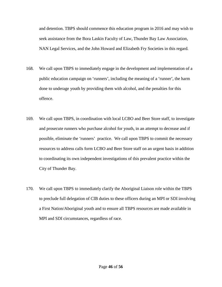and detention. TBPS should commence this education program in 2016 and may wish to seek assistance from the Bora Laskin Faculty of Law, Thunder Bay Law Association, NAN Legal Services, and the John Howard and Elizabeth Fry Societies in this regard.

- 168. We call upon TBPS to immediately engage in the development and implementation of a public education campaign on 'runners', including the meaning of a 'runner', the harm done to underage youth by providing them with alcohol, and the penalties for this offence.
- 169. We call upon TBPS, in coordination with local LCBO and Beer Store staff, to investigate and prosecute runners who purchase alcohol for youth, in an attempt to decrease and if possible, eliminate the 'runners' practice. We call upon TBPS to commit the necessary resources to address calls form LCBO and Beer Store staff on an urgent basis in addition to coordinating its own independent investigations of this prevalent practice within the City of Thunder Bay.
- 170. We call upon TBPS to immediately clarify the Aboriginal Liaison role within the TBPS to preclude full delegation of CIB duties to these officers during an MPI or SDI involving a First Nation/Aboriginal youth and to ensure all TBPS resources are made available in MPI and SDI circumstances, regardless of race.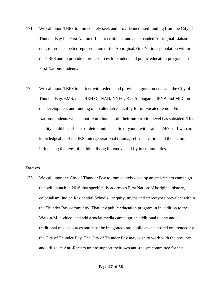- 171. We call upon TBPS to immediately seek and provide increased funding from the City of Thunder Bay for First Nation officer recruitment and an expanded Aboriginal Liaison unit, to produce better representation of the Aboriginal/First Nations population within the TBPS and to provide more resources for student and public education programs to First Nations students.
- 172. We call upon TBPS to partner with federal and provincial governments and the City of Thunder Bay, EMS, the TBRHSC, NAN, NNEC, KO, Shibogama, IFNA and MLC on the development and funding of an alternative facility for intoxicated remote First Nations students who cannot return home until their intoxication level has subsided. This facility could be a shelter or detox unit, specific to youth, with trained 24/7 staff who are knowledgeable of the IRS, intergenerational trauma, self-medication and the factors influencing the lives of children living in remove and fly in communities.

#### **Racism**

173. We call upon the City of Thunder Bay to immediately develop an anti-racism campaign that will launch in 2016 that specifically addresses First Nations/Aboriginal history, colonialism, Indian Residential Schools, inequity, myths and stereotypes prevalent within the Thunder Bay community. That any public education program in in addition to the Walk-a-Mile video and add a social media campaign in additional to any and all traditional media sources and must be integrated into public events hosted or attended by the City of Thunder Bay. The City of Thunder Bay may wish to work with the province and utilize its Anti-Racism unit to support their own anti-racism committee for this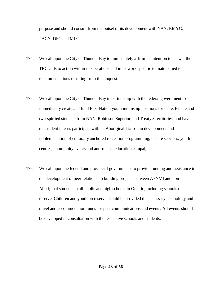purpose and should consult from the outset of its development with NAN, RMYC, PACY, DFC and MLC.

- 174. We call upon the City of Thunder Bay to immediately affirm its intention to answer the TRC calls to action within its operations and in its work specific to matters tied to recommendations resulting from this Inquest.
- 175. We call upon the City of Thunder Bay in partnership with the federal government to immediately create and fund First Nation youth internship positions for male, female and two-spirited students from NAN, Robinson Superior, and Treaty 3 territories, and have the student interns participate with its Aboriginal Liaison in development and implementation of culturally anchored recreation programming, leisure services, youth centres, community events and anti-racism education campaigns.
- 176. We call upon the federal and provincial governments to provide funding and assistance in the development of peer relationship building projects between AFNMI and non-Aboriginal students in all public and high schools in Ontario, including schools on reserve. Children and youth on reserve should be provided the necessary technology and travel and accommodation funds for peer communications and events. All events should be developed in consultation with the respective schools and students.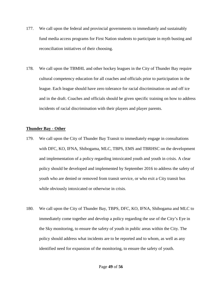- 177. We call upon the federal and provincial governments to immediately and sustainably fund media access programs for First Nation students to participate in myth busting and reconciliation initiatives of their choosing.
- 178. We call upon the TBMHL and other hockey leagues in the City of Thunder Bay require cultural competency education for all coaches and officials prior to participation in the league. Each league should have zero tolerance for racial discrimination on and off ice and in the draft. Coaches and officials should be given specific training on how to address incidents of racial discrimination with their players and player parents.

#### **Thunder Bay - Other**

- 179. We call upon the City of Thunder Bay Transit to immediately engage in consultations with DFC, KO, IFNA, Shibogama, MLC, TBPS, EMS and TBRHSC on the development and implementation of a policy regarding intoxicated youth and youth in crisis. A clear policy should be developed and implemented by September 2016 to address the safety of youth who are denied or removed from transit service, or who exit a City transit bus while obviously intoxicated or otherwise in crisis.
- 180. We call upon the City of Thunder Bay, TBPS, DFC, KO, IFNA, Shibogama and MLC to immediately come together and develop a policy regarding the use of the City's Eye in the Sky monitoring, to ensure the safety of youth in public areas within the City. The policy should address what incidents are to be reported and to whom, as well as any identified need for expansion of the monitoring, to ensure the safety of youth.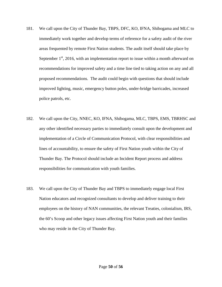- 181. We call upon the City of Thunder Bay, TBPS, DFC, KO, IFNA, Shibogama and MLC to immediately work together and develop terms of reference for a safety audit of the river areas frequented by remote First Nation students. The audit itself should take place by September  $1<sup>st</sup>$ , 2016, with an implementation report to issue within a month afterward on recommendations for improved safety and a time line tied to taking action on any and all proposed recommendations. The audit could begin with questions that should include improved lighting, music, emergency button poles, under-bridge barricades, increased police patrols, etc.
- 182. We call upon the City, NNEC, KO, IFNA, Shibogama, MLC, TBPS, EMS, TBRHSC and any other identified necessary parties to immediately consult upon the development and implementation of a Circle of Communication Protocol, with clear responsibilities and lines of accountability, to ensure the safety of First Nation youth within the City of Thunder Bay. The Protocol should include an Incident Report process and address responsibilities for communication with youth families.
- 183. We call upon the City of Thunder Bay and TBPS to immediately engage local First Nation educators and recognized consultants to develop and deliver training to their employees on the history of NAN communities, the relevant Treaties, colonialism, IRS, the 60's Scoop and other legacy issues affecting First Nation youth and their families who may reside in the City of Thunder Bay.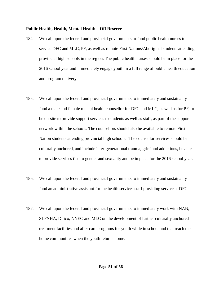#### **Public Health, Health, Mental Health – Off Reserve**

- 184. We call upon the federal and provincial governments to fund public health nurses to service DFC and MLC, PF, as well as remote First Nations/Aboriginal students attending provincial high schools in the region. The public health nurses should be in place for the 2016 school year and immediately engage youth in a full range of public health education and program delivery.
- 185. We call upon the federal and provincial governments to immediately and sustainably fund a male and female mental health counsellor for DFC and MLC, as well as for PF, to be on-site to provide support services to students as well as staff, as part of the support network within the schools. The counsellors should also be available to remote First Nation students attending provincial high schools. The counsellor services should be culturally anchored, and include inter-generational trauma, grief and addictions, be able to provide services tied to gender and sexuality and be in place for the 2016 school year.
- 186. We call upon the federal and provincial governments to immediately and sustainably fund an administrative assistant for the health services staff providing service at DFC.
- 187. We call upon the federal and provincial governments to immediately work with NAN, SLFNHA, Dilico, NNEC and MLC on the development of further culturally anchored treatment facilities and after care programs for youth while in school and that reach the home communities when the youth returns home.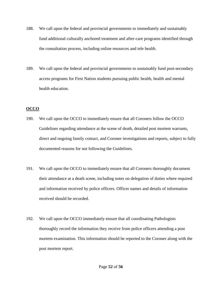- 188. We call upon the federal and provincial governments to immediately and sustainably fund additional culturally anchored treatment and after-care programs identified through the consultation process, including online resources and tele health.
- 189. We call upon the federal and provincial governments to sustainably fund post-secondary access programs for First Nation students pursuing public health, health and mental health education.

# **OCCO**

- 190. We call upon the OCCO to immediately ensure that all Coroners follow the OCCO Guidelines regarding attendance at the scene of death, detailed post mortem warrants, direct and ongoing family contact, and Coroner investigations and reports, subject to fully documented reasons for not following the Guidelines.
- 191. We call upon the OCCO to immediately ensure that all Coroners thoroughly document their attendance at a death scene, including notes on delegation of duties where required and information received by police officers. Officer names and details of information received should be recorded.
- 192. We call upon the OCCO immediately ensure that all coordinating Pathologists thoroughly record the information they receive from police officers attending a post mortem examination. This information should be reported to the Coroner along with the post mortem report.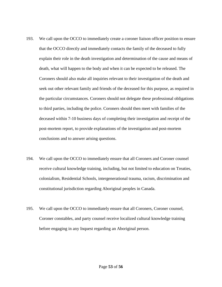- 193. We call upon the OCCO to immediately create a coroner liaison officer position to ensure that the OCCO directly and immediately contacts the family of the deceased to fully explain their role in the death investigation and determination of the cause and means of death, what will happen to the body and when it can be expected to be released. The Coroners should also make all inquiries relevant to their investigation of the death and seek out other relevant family and friends of the deceased for this purpose, as required in the particular circumstances. Coroners should not delegate these professional obligations to third parties, including the police. Coroners should then meet with families of the deceased within 7-10 business days of completing their investigation and receipt of the post-mortem report, to provide explanations of the investigation and post-mortem conclusions and to answer arising questions.
- 194. We call upon the OCCO to immediately ensure that all Coroners and Coroner counsel receive cultural knowledge training, including, but not limited to education on Treaties, colonialism, Residential Schools, intergenerational trauma, racism, discrimination and constitutional jurisdiction regarding Aboriginal peoples in Canada.
- 195. We call upon the OCCO to immediately ensure that all Coroners, Coroner counsel, Coroner constables, and party counsel receive localized cultural knowledge training before engaging in any Inquest regarding an Aboriginal person.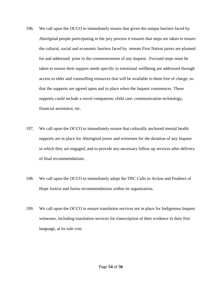- 196. We call upon the OCCO to immediately ensure that given the unique barriers faced by Aboriginal people participating in the jury process it ensures that steps are taken to ensure the cultural, social and economic barriers faced by remote First Nation jurors are planned for and addressed prior to the commencement of any Inquest. Focused steps must be taken to ensure their support needs specific to emotional wellbeing are addressed through access to elder and counselling resources that will be available to them free of charge, so that the supports are agreed upon and in place when the Inquest commences. These supports could include a travel companion, child care, communication technology, financial assistance, etc.
- 197. We call upon the OCCO to immediately ensure that culturally anchored mental health supports are in place for Aboriginal jurors and witnesses for the duration of any Inquest in which they are engaged, and to provide any necessary follow up services after delivery of final recommendations.
- 198. We call upon the OCCO to immediately adopt the TRC Calls to Action and Feathers of Hope Justice and Juries recommendations within its organization.
- 199. We call upon the OCCO to ensure translation services are in place for Indigenous Inquest witnesses, including translation services for transcription of their evidence in their first language, at its sole cost.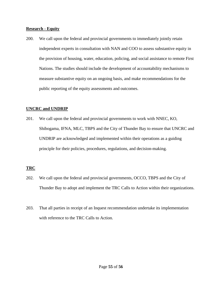#### **Research - Equity**

200. We call upon the federal and provincial governments to immediately jointly retain independent experts in consultation with NAN and COO to assess substantive equity in the provision of housing, water, education, policing, and social assistance to remote First Nations. The studies should include the development of accountability mechanisms to measure substantive equity on an ongoing basis, and make recommendations for the public reporting of the equity assessments and outcomes.

# **UNCRC and UNDRIP**

201. We call upon the federal and provincial governments to work with NNEC, KO, Shibogama, IFNA, MLC, TBPS and the City of Thunder Bay to ensure that UNCRC and UNDRIP are acknowledged and implemented within their operations as a guiding principle for their policies, procedures, regulations, and decision-making.

# **TRC**

- 202. We call upon the federal and provincial governments, OCCO, TBPS and the City of Thunder Bay to adopt and implement the TRC Calls to Action within their organizations.
- 203. That all parties in receipt of an Inquest recommendation undertake its implementation with reference to the TRC Calls to Action.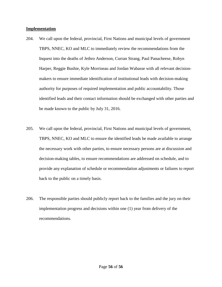#### **Implementation**

- 204. We call upon the federal, provincial, First Nations and municipal levels of government TBPS, NNEC, KO and MLC to immediately review the recommendations from the Inquest into the deaths of Jethro Anderson, Curran Strang, Paul Panacheese, Robyn Harper, Reggie Bushie, Kyle Morriseau and Jordan Wabasse with all relevant decisionmakers to ensure immediate identification of institutional leads with decision-making authority for purposes of required implementation and public accountability. Those identified leads and their contact information should be exchanged with other parties and be made known to the public by July 31, 2016.
- 205. We call upon the federal, provincial, First Nations and municipal levels of government, TBPS, NNEC, KO and MLC to ensure the identified leads be made available to arrange the necessary work with other parties, to ensure necessary persons are at discussion and decision-making tables, to ensure recommendations are addressed on schedule, and to provide any explanation of schedule or recommendation adjustments or failures to report back to the public on a timely basis.
- 206. The responsible parties should publicly report back to the families and the jury on their implementation progress and decisions within one (1) year from delivery of the recommendations.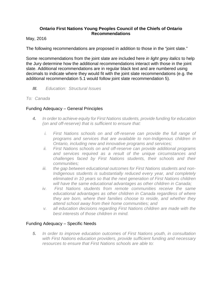# **Ontario First Nations Young Peoples Council of the Chiefs of Ontario Recommendations**

May, 2016

The following recommendations are proposed in addition to those in the "joint slate."

Some recommendations from the joint slate are included here *in light grey italics* to help the Jury determine how the additional recommendations interact with those in the joint slate. Additional recommendations are in regular black text and are numbered using decimals to indicate where they would fit with the joint slate recommendations (e.g. the additional recommendation 5.1 would follow joint slate recommendation 5).

# *III. Education: Structural Issues*

# *To: Canada*

# Funding Adequacy – General Principles

- *4. In order to achieve equity for First Nations students, provide funding for education (on and off-reserve) that is sufficient to ensure that:*
	- *i. First Nations schools on and off-reserve can provide the full range of programs and services that are available to non-Indigenous children in Ontario, including new and innovative programs and services;*
	- *ii. First Nations schools on and off-reserve can provide additional programs and services required as a result of the unique circumstances and challenges faced by First Nations students, their schools and their communities;*
	- *iii. the gap between educational outcomes for First Nations students and non-Indigenous students is substantially reduced every year, and completely eliminated in 10 years so that the next generation of First Nations children will have the same educational advantages as other children in Canada;*
	- *iv. First Nations students from remote communities receive the same educational advantages as other children in Canada regardless of where they are born, where their families choose to reside, and whether they attend school away from their home communities; and*
	- *v. all education decisions regarding First Nations children are made with the best interests of those children in mind.*

# Funding Adequacy – Specific Needs

*5. In order to improve education outcomes of First Nations youth, in consultation with First Nations education providers, provide sufficient funding and necessary resources to ensure that First Nations schools are able to:*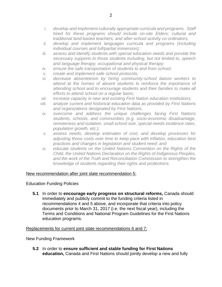- *i. develop and implement culturally appropriate curricula and programs. Staff hired for these programs should include on-site Elders; cultural and traditional land-based teachers; and after-school activity co-ordinators;*
- *ii. develop and implement languages curricula and programs (including individual courses and full/partial immersion);*
- *iii. assess and identify students with special education needs and provide the necessary supports to those students including, but not limited to, speech and language therapy; occupational and physical therapy;*
- *iv. ensure the safe transportation of students to and from school;*
- *v. create and implement safe school protocols;*
- *vi. decrease absenteeism by hiring community-school liaison workers to attend at the homes of absent students to reinforce the importance of attending school and to encourage students and their families to make all efforts to attend school on a regular basis;*
- *vii. increase capacity in new and existing First Nation education institutions;*
- *viii. analyze current and historical education data as provided by First Nations and organizations designated by First Nations;*
- *ix. overcome and address the unique challenges facing First Nations students, schools, and communities (e.g. socio-economic disadvantage, remoteness and isolation, small school size, special needs incidence rates, population growth, etc.);*
- *x. assess needs, develop estimates of cost, and develop processes for adjusting those costs over time to keep pace with inflation, education best practices and changes in legislation and student need; and*
- *xi. educate students on the United Nations Convention on the Rights of the Child, the United Nations Declaration on the Rights of Indigenous Peoples, and the work of the Truth and Reconciliation Commission to strengthen the knowledge of students regarding their rights and protections.*

# New recommendation after joint slate recommendation 5:

# Education Funding Policies

**5.1** In order to **encourage early progress on structural reforms,** Canada should immediately and publicly commit to the funding criteria listed in recommendations 4 and 5 above, and incorporate that criteria into policy documents prior to March 31, 2017 (i.e. the next fiscal year), including the Terms and Conditions and National Program Guidelines for the First Nations education programs.

# Replacements for current joint slate recommendations 6 and 7:

New Funding Framework

**5.2** In order to **ensure sufficient and stable funding for First Nations education,** Canada and First Nations should jointly develop a new and fully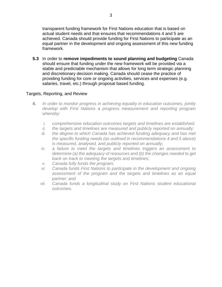transparent funding framework for First Nations education that is based on actual student needs and that ensures that recommendations 4 and 5 are achieved. Canada should provide funding for First Nations to participate as an equal partner in the development and ongoing assessment of this new funding framework.

**5.3** In order to **remove impediments to sound planning and budgeting** Canada should ensure that funding under the new framework will be provided via a stable and predictable mechanism that allows for long term strategic planning and discretionary decision making. Canada should cease the practice of providing funding for core or ongoing activities, services and expenses (e.g. salaries, travel, etc.) through proposal based funding.

# Targets, Reporting, and Review

- *6. In order to monitor progress in achieving equality in education outcomes, jointly develop with First Nations a progress measurement and reporting program whereby:*
	- *i. comprehensive education outcomes targets and timelines are established;*
	- *ii. the targets and timelines are measured and publicly reported on annually;*
	- *iii. the degree to which Canada has achieved funding adequacy and has met the specific funding needs (as outlined in recommendations 4 and 5 above) is measured, analysed, and publicly reported on annually;*
	- *iv. a failure to meet the targets and timelines triggers an assessment to determine (a) the adequacy of resources and (b) the changes needed to get back on track to meeting the targets and timelines;*
	- *v. Canada fully funds the program;*
	- *vi. Canada funds First Nations to participate in the development and ongoing assessment of the program and the targets and timelines as an equal partner; and*
	- *vii. Canada funds a longitudinal study on First Nations student educational outcomes.*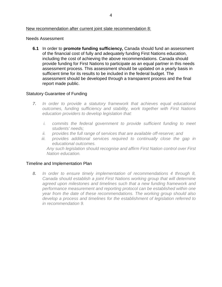# New recommendation after current joint slate recommendation 8:

#### Needs Assessment

**6.1** In order to **promote funding sufficiency,** Canada should fund an assessment of the financial cost of fully and adequately funding First Nations education, including the cost of achieving the above recommendations. Canada should provide funding for First Nations to participate as an equal partner in this needs assessment process. This assessment should be updated on a yearly basis in sufficient time for its results to be included in the federal budget. The assessment should be developed through a transparent process and the final report made public.

# Statutory Guarantee of Funding

- *7. In order to provide a statutory framework that achieves equal educational outcomes, funding sufficiency and stability, work together with First Nations education providers to develop legislation that:*
	- *i. commits the federal government to provide sufficient funding to meet students' needs;*
	- *ii. provides the full range of services that are available off-reserve; and*
	- *iii. provides additional services required to continually close the gap in educational outcomes.*

*Any such legislation should recognise and affirm First Nation control over First Nation education.*

# Timeline and Implementation Plan

*8. In order to ensure timely implementation of recommendations 4 through 8, Canada should establish a joint First Nations working group that will determine agreed upon milestones and timelines such that a new funding framework and performance measurement and reporting protocol can be established within one year from the date of these recommendations. The working group should also develop a process and timelines for the establishment of legislation referred to in recommendation 9.*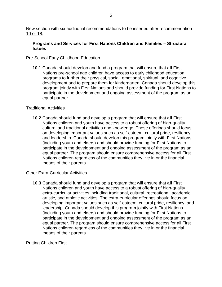# **Programs and Services for First Nations Children and Families – Structural Issues**

# Pre-School Early Childhood Education

**10.1** Canada should develop and fund a program that will ensure that **all** First Nations pre-school age children have access to early childhood education programs to further their physical, social, emotional, spiritual, and cognitive development and to prepare them for kindergarten. Canada should develop this program jointly with First Nations and should provide funding for First Nations to participate in the development and ongoing assessment of the program as an equal partner.

# Traditional Activities

**10.2** Canada should fund and develop a program that will ensure that **all** First Nations children and youth have access to a robust offering of high-quality cultural and traditional activities and knowledge. These offerings should focus on developing important values such as self-esteem, cultural pride, resiliency, and leadership. Canada should develop this program jointly with First Nations (including youth and elders) and should provide funding for First Nations to participate in the development and ongoing assessment of the program as an equal partner. The program should ensure comprehensive access for all First Nations children regardless of the communities they live in or the financial means of their parents.

# Other Extra-Curricular Activities

**10.3** Canada should fund and develop a program that will ensure that **all** First Nations children and youth have access to a robust offering of high-quality extra-curricular activities including traditional, cultural, recreational, academic, artistic, and athletic activities. The extra-curricular offerings should focus on developing important values such as self-esteem, cultural pride, resiliency, and leadership. Canada should develop this program jointly with First Nations (including youth and elders) and should provide funding for First Nations to participate in the development and ongoing assessment of the program as an equal partner. The program should ensure comprehensive access for all First Nations children regardless of the communities they live in or the financial means of their parents.

# Putting Children First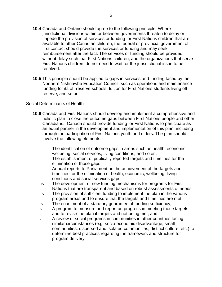- **10.4** Canada and Ontario should agree to the following principle: Where jurisdictional divisions within or between governments threaten to delay or impede the provision of services or funding for First Nations children that are available to other Canadian children, the federal or provincial government of first contact should provide the services or funding and may seek reimbursement after the fact. The services or funding should be provided without delay such that First Nations children, and the organizations that serve First Nations children, do not need to wait for the jurisdictional issue to be resolved.
- **10.5** This principle should be applied to gaps in services and funding faced by the Northern Nishnawbe Education Council, such as operations and maintenance funding for its off-reserve schools, tuition for First Nations students living offreserve, and so on.

# Social Determinants of Health

- **10.6** Canada and First Nations should develop and implement a comprehensive and holistic plan to close the outcome gaps between First Nations people and other Canadians. Canada should provide funding for First Nations to participate as an equal partner in the development and implementation of this plan, including through the participation of First Nations youth and elders. The plan should involve the following elements:
	- i. The identification of outcome gaps in areas such as health, economic wellbeing, social services, living conditions, and so on;
	- ii. The establishment of publically reported targets and timelines for the elimination of those gaps;
	- iii. Annual reports to Parliament on the achievement of the targets and timelines for the elimination of health, economic, wellbeing, living conditions and social services gaps;
	- iv. The development of new funding mechanisms for programs for First Nations that are transparent and based on robust assessments of needs;
	- v. The provision of sufficient funding to implement the plan in the various program areas and to ensure that the targets and timelines are met;
	- vi. The enactment of a statutory guarantee of funding sufficiency;
	- vii. A program to measure and report on progress in meeting those targets and to revise the plan if targets and not being met; and
	- viii. A review of social programs in communities in other countries facing similar circumstances (e.g. socio-economic disadvantage, small communities, dispersed and isolated communities, distinct culture, etc.) to determine best practices regarding the framework and structure for program delivery.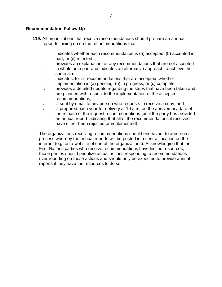#### **Recommendation Follow-Up**

- **119.** All organizations that receive recommendations should prepare an annual report following up on the recommendations that:
	- i. indicates whether each recommendation is (a) accepted, (b) accepted in part, or (c) rejected;
	- ii. provides an explanation for any recommendations that are not accepted in whole or in part and indicates an alternative approach to achieve the same aim;
	- iii. indicates, for all recommendations that are accepted, whether implementation is (a) pending, (b) in progress, or (c) complete;
	- iv. provides a detailed update regarding the steps that have been taken and are planned with respect to the implementation of the accepted recommendations;
	- v. is sent by email to any person who requests to receive a copy; and
	- vi. is prepared each year for delivery at 10 a.m. on the anniversary date of the release of the inquest recommendations (until the party has provided an annual report indicating that all of the recommendations it received have either been rejected or implemented).

The organizations receiving recommendations should endeavour to agree on a process whereby the annual reports will be posted in a central location on the internet (e.g. on a website of one of the organizations). Acknowledging that the First Nations parties who receive recommendations have limited resources, those parties should prioritize actual actions responding to recommendations over reporting on those actions and should only be expected to provide annual reports if they have the resources to do so.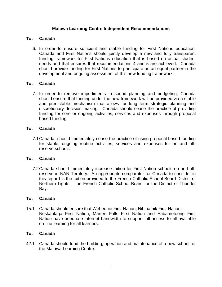# **Matawa Learning Centre Independent Recommendations**

# **To: Canada**

6. In order to ensure sufficient and stable funding for First Nations education, Canada and First Nations should jointly develop a new and fully transparent funding framework for First Nations education that is based on actual student needs and that ensures that recommendations 4 and 5 are achieved. Canada should provide funding for First Nations to participate as an equal partner in the development and ongoing assessment of this new funding framework.

# **To: Canada**

7. In order to remove impediments to sound planning and budgeting, Canada should ensure that funding under the new framework will be provided via a stable and predictable mechanism that allows for long term strategic planning and discretionary decision making. Canada should cease the practice of providing funding for core or ongoing activities, services and expenses through proposal based funding.

# **To: Canada**

7.1Canada should immediately cease the practice of using proposal based funding for stable, ongoing routine activities, services and expenses for on and offreserve schools.

# **To: Canada**

7.2Canada should immediately increase tuition for First Nation schools on and offreserve in NAN Territory. An appropriate comparator for Canada to consider in this regard is the tuition provided to the French Catholic School Board District of Northern Lights – the French Catholic School Board for the District of Thunder Bay.

# **To: Canada**

15.1 Canada should ensure that Webequie First Nation, Nibinamik First Nation, Neskantaga First Nation, Marten Falls First Nation and Eabametoong First Nation have adequate internet bandwidth to support full access to all available on-line learning for all learners.

# **To: Canada**

42.1 Canada should fund the building, operation and maintenance of a new school for the Matawa Learning Centre.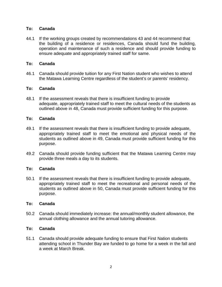#### **To: Canada**

44.1 If the working groups created by recommendations 43 and 44 recommend that the building of a residence or residences, Canada should fund the building, operation and maintenance of such a residence and should provide funding to ensure adequate and appropriately trained staff for same.

#### **To: Canada**

46.1 Canada should provide tuition for any First Nation student who wishes to attend the Matawa Learning Centre regardless of the student's or parents' residency.

## **To: Canada**

48.1 If the assessment reveals that there is insufficient funding to provide adequate, appropriately trained staff to meet the cultural needs of the students as outlined above in 48, Canada must provide sufficient funding for this purpose.

## **To: Canada**

- 49.1 If the assessment reveals that there is insufficient funding to provide adequate, appropriately trained staff to meet the emotional and physical needs of the students as outlined above in 49, Canada must provide sufficient funding for this purpose.
- 49.2 Canada should provide funding sufficient that the Matawa Learning Centre may provide three meals a day to its students.

#### **To: Canada**

50.1 If the assessment reveals that there is insufficient funding to provide adequate, appropriately trained staff to meet the recreational and personal needs of the students as outlined above in 50, Canada must provide sufficient funding for this purpose.

#### **To: Canada**

50.2 Canada should immediately increase: the annual/monthly student allowance, the annual clothing allowance and the annual tutoring allowance.

#### **To: Canada**

51.1 Canada should provide adequate funding to ensure that First Nation students attending school in Thunder Bay are funded to go home for a week in the fall and a week at March Break.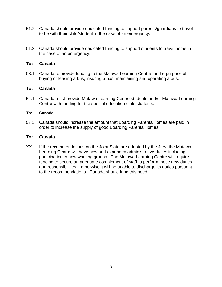- 51.2 Canada should provide dedicated funding to support parents/guardians to travel to be with their child/student in the case of an emergency.
- 51.3 Canada should provide dedicated funding to support students to travel home in the case of an emergency.

#### **To: Canada**

53.1 Canada to provide funding to the Matawa Learning Centre for the purpose of buying or leasing a bus, insuring a bus, maintaining and operating a bus.

#### **To: Canada**

54.1 Canada must provide Matawa Learning Centre students and/or Matawa Learning Centre with funding for the special education of its students.

#### **To: Canada**

58.1 Canada should increase the amount that Boarding Parents/Homes are paid in order to increase the supply of good Boarding Parents/Homes.

#### **To: Canada**

XX. If the recommendations on the Joint Slate are adopted by the Jury, the Matawa Learning Centre will have new and expanded administrative duties including participation in new working groups. The Matawa Learning Centre will require funding to secure an adequate complement of staff to perform these new duties and responsibilities – otherwise it will be unable to discharge its duties pursuant to the recommendations. Canada should fund this need.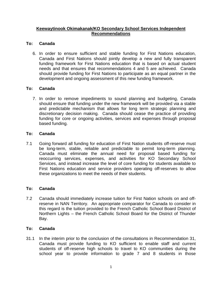## **Keewaytinook Okimakanak/KO Secondary School Services Independent Recommendations**

## **To: Canada**

6. In order to ensure sufficient and stable funding for First Nations education, Canada and First Nations should jointly develop a new and fully transparent funding framework for First Nations education that is based on actual student needs and that ensures that recommendations 4 and 5 are achieved. Canada should provide funding for First Nations to participate as an equal partner in the development and ongoing assessment of this new funding framework.

## **To: Canada**

7. In order to remove impediments to sound planning and budgeting, Canada should ensure that funding under the new framework will be provided via a stable and predictable mechanism that allows for long term strategic planning and discretionary decision making. Canada should cease the practice of providing funding for core or ongoing activities, services and expenses through proposal based funding.

## **To: Canada**

7.1 Going forward all funding for education of First Nation students off-reserve must be long-term, stable, reliable and predictable to permit long-term planning. Canada must eliminate the annual need for proposal based funding for reoccurring services, expenses, and activities for KO Secondary School Services, and instead increase the level of core funding for students available to First Nations education and service providers operating off-reserves to allow these organizations to meet the needs of their students.

#### **To: Canada**

7.2 Canada should immediately increase tuition for First Nation schools on and offreserve in NAN Territory. An appropriate comparator for Canada to consider in this regard is the tuition provided to the French Catholic School Board District of Northern Lights – the French Catholic School Board for the District of Thunder Bay.

#### **To: Canada**

31.1 In the interim prior to the conclusion of the consultations in Recommendation 31, Canada must provide funding to KO sufficient to enable staff and current students of off-reserve high schools to travel to KO communities during the school year to provide information to grade 7 and 8 students in those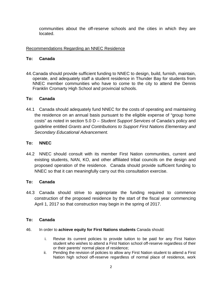communities about the off-reserve schools and the cities in which they are located.

## Recommendations Regarding an NNEC Residence

#### **To: Canada**

44.Canada should provide sufficient funding to NNEC to design, build, furnish, maintain, operate, and adequately staff a student residence in Thunder Bay for students from NNEC member communities who have to come to the city to attend the Dennis Franklin Cromarty High School and provincial schools.

## **To: Canada**

44.1 Canada should adequately fund NNEC for the costs of operating and maintaining the residence on an annual basis pursuant to the eligible expense of "group home costs" as noted in section 5.0 D – *Student Support Services* of Canada's policy and guideline entitled *Grants and Contributions to Support First Nations Elementary and Secondary Educational Advancement.*

# **To: NNEC**

44.2 NNEC should consult with its member First Nation communities, current and existing students, NAN, KO, and other affiliated tribal councils on the design and proposed operation of the residence. Canada should provide sufficient funding to NNEC so that it can meaningfully carry out this consultation exercise.

# **To: Canada**

44.3 Canada should strive to appropriate the funding required to commence construction of the proposed residence by the start of the fiscal year commencing April 1, 2017 so that construction may begin in the spring of 2017.

# **To: Canada**

- 46. In order to **achieve equity for First Nations students** Canada should:
	- i. Revise its current policies to provide tuition to be paid for any First Nation student who wishes to attend a First Nation school off-reserve regardless of their or their parents' normal place of residence;
	- ii. Pending the revision of policies to allow any First Nation student to attend a First Nation high school off-reserve regardless of normal place of residence, work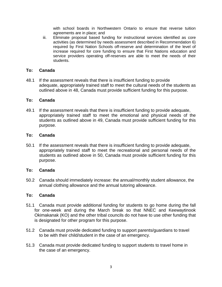with school boards in Northwestern Ontario to ensure that reverse tuition agreements are in place; and

iii. Eliminate proposal based funding for instructional services identified as core activities (as determined by needs assessment described in Recommendation 6) required by First Nation Schools off-reserve and determination of the level of increase required for core funding to ensure that First Nations education and service providers operating off-reserves are able to meet the needs of their students.

#### **To: Canada**

48.1 If the assessment reveals that there is insufficient funding to provide adequate, appropriately trained staff to meet the cultural needs of the students as outlined above in 48, Canada must provide sufficient funding for this purpose.

#### **To: Canada**

49.1 If the assessment reveals that there is insufficient funding to provide adequate, appropriately trained staff to meet the emotional and physical needs of the students as outlined above in 49, Canada must provide sufficient funding for this purpose.

#### **To: Canada**

50.1 If the assessment reveals that there is insufficient funding to provide adequate, appropriately trained staff to meet the recreational and personal needs of the students as outlined above in 50, Canada must provide sufficient funding for this purpose.

#### **To: Canada**

50.2 Canada should immediately increase: the annual/monthly student allowance, the annual clothing allowance and the annual tutoring allowance.

#### **To: Canada**

- 51.1 Canada must provide additional funding for students to go home during the fall for one-week and during the March break so that NNEC and Keewaytinook Okimakanak (KO) and the other tribal councils do not have to use other funding that is designated for other program for this purpose.
- 51.2 Canada must provide dedicated funding to support parents/guardians to travel to be with their child/student in the case of an emergency.
- 51.3 Canada must provide dedicated funding to support students to travel home in the case of an emergency.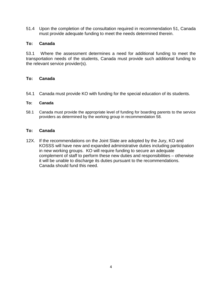51.4 Upon the completion of the consultation required in recommendation 51, Canada must provide adequate funding to meet the needs determined therein.

#### **To: Canada**

53.1 Where the assessment determines a need for additional funding to meet the transportation needs of the students, Canada must provide such additional funding to the relevant service provider(s).

## **To: Canada**

54.1 Canada must provide KO with funding for the special education of its students.

#### **To: Canada**

58.1 Canada must provide the appropriate level of funding for boarding parents to the service providers as determined by the working group in recommendation 58.

#### **To: Canada**

12X. If the recommendations on the Joint Slate are adopted by the Jury, KO and KOSSS will have new and expanded administrative duties including participation in new working groups. KO will require funding to secure an adequate complement of staff to perform these new duties and responsibilities – otherwise it will be unable to discharge its duties pursuant to the recommendations. Canada should fund this need.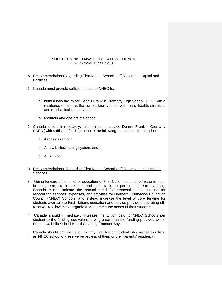#### NORTHERN NISHNAWBE EDUCATION COUNCIL RECOMMENDATIONS

- A. Recommendations Regarding First Nation Schools Off-Reserve Capital and **Facilities**
- 1. Canada must provide sufficient funds to NNEC to:
	- a. build a new facility for Dennis Franklin Cromarty High School (DFC) with a residence on site as the current facility is old with many health, structural and mechanical issues; and
	- b. Maintain and operate the school.
- 2. Canada should immediately, in the interim, provide Dennis Franklin Cromarty ("DFC")with sufficient funding to make the following renovations to the school:
	- a. Asbestos removal;
	- b. A new boiler/heating system; and
	- c. A new roof.

#### B. Recommendations Regarding First Nation Schools Off-Reserve – Instructional Services

- 3. Going forward all funding for education of First Nation students off-reserve must be long-term, stable, reliable and predictable to permit long-term planning. Canada must eliminate the annual need for proposal based funding for reoccurring services, expenses, and activities for Northern Nishnawbe Education Council (NNEC) Schools, and instead increase the level of core funding for students available to First Nations education and service providers operating offreserves to allow these organizations to meet the needs of their students.
- 4. Canada should immediately increase the tuition paid to NNEC Schools per student to the funding equivalent to or greater than the funding provided to the French Catholic School Board Covering Thunder Bay.
- 5. Canada should provide tuition for any First Nation student who wishes to attend an NNEC school off-reserve regardless of their, or their parents' residency.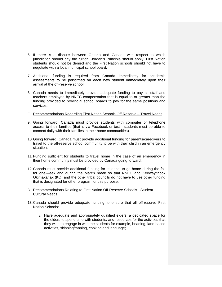- 6. If there is a dispute between Ontario and Canada with respect to which jurisdiction should pay the tuition, Jordan's Principle should apply. First Nation students should not be denied and the First Nation schools should not have to negotiate with a local municipal school board.
- 7. Additional funding is required from Canada immediately for academic assessments to be performed on each new student immediately upon their arrival at the off-reserve school.
- 8. Canada needs to immediately provide adequate funding to pay all staff and teachers employed by NNEC compensation that is equal to or greater than the funding provided to provincial school boards to pay for the same positions and services.
- C. Recommendations Regarding First Nation Schools Off-Reserve Travel Needs
- 9. Going forward, Canada must provide students with computer or telephone access to their families (that is via Facebook or text - students must be able to connect daily with their families in their home communities).
- 10.Going forward, Canada must provide additional funding for parents/caregivers to travel to the off-reserve school community to be with their child in an emergency situation.
- 11.Funding sufficient for students to travel home in the case of an emergency in their home community must be provided by Canada going forward.
- 12.Canada must provide additional funding for students to go home during the fall for one-week and during the March break so that NNEC and Keewaytinook Okimakanak (KO) and the other tribal councils do not have to use other funding that is designated for other program for this purpose.
- D. Recommendations Relating to First Nation Off-Reserve Schools Student Cultural Needs
- 13.Canada should provide adequate funding to ensure that all off-reserve First Nation Schools:
	- a. Have adequate and appropriately qualified elders, a dedicated space for the elders to spend time with students, and resources for the activities that they wish to engage in with the students for example, beading, land based activities, skinning/tanning, cooking and language;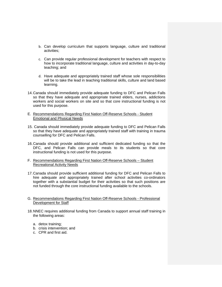- b. Can develop curriculum that supports language, culture and traditional activities;
- c. Can provide regular professional development for teachers with respect to how to incorporate traditional language, culture and activities in day-to-day teaching; and
- d. Have adequate and appropriately trained staff whose sole responsibilities will be to take the lead in teaching traditional skills, culture and land based learning.
- 14.Canada should immediately provide adequate funding to DFC and Pelican Falls so that they have adequate and appropriate trained elders, nurses, addictions workers and social workers on site and so that core instructional funding is not used for this purpose.
- E. Recommendations Regarding First Nation Off-Reserve Schools Student Emotional and Physical Needs
- 15. Canada should immediately provide adequate funding to DFC and Pelican Falls so that they have adequate and appropriately trained staff with training in trauma counselling for DFC and Pelican Falls.
- 16.Canada should provide additional and sufficient dedicated funding so that the DFC, and Pelican Falls can provide meals to its students so that core instructional funding is not used for this purpose.
- F. Recommendations Regarding First Nation Off-Reserve Schools Student Recreational Activity Needs
- 17.Canada should provide sufficient additional funding for DFC and Pelican Falls to hire adequate and appropriately trained after school activities co-ordinators together with a substantial budget for their activities so that such positions are not funded through the core instructional funding available to the schools.
- G. Recommendations Regarding First Nation Off-Reserve Schools Professional Development for Staff
- 18.NNEC requires additional funding from Canada to support annual staff training in the following areas:
	- a. detox training;
	- b. crisis intervention; and
	- c. CPR and first aid.